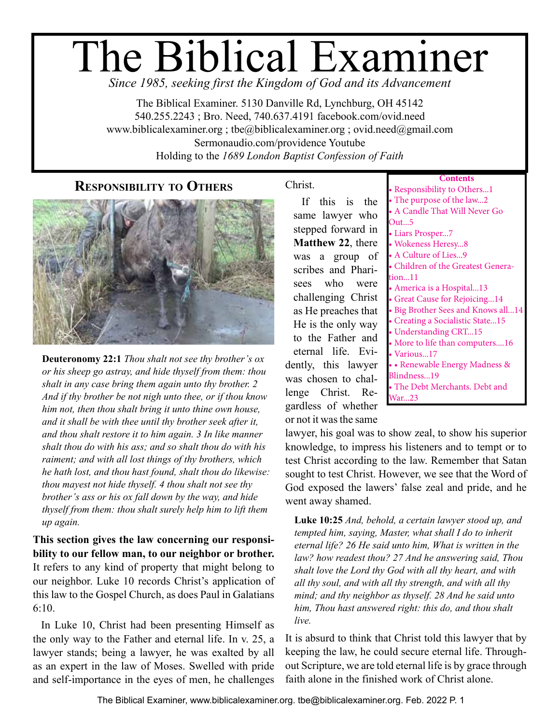# The Biblical Examiner

*Since 1985, seeking first the Kingdom of God and its Advancement*

The Biblical Examiner. 5130 Danville Rd, Lynchburg, OH 45142 540.255.2243 ; Bro. Need, 740.637.4191 facebook.com/ovid.need www.biblicalexaminer.org ; tbe@biblicalexaminer.org ; ovid.need@gmail.com Sermonaudio.com/providence Youtube Holding to the *1689 London Baptist Confession of Faith*

## **Responsibility to Others**



**Deuteronomy 22:1** *Thou shalt not see thy brother's ox or his sheep go astray, and hide thyself from them: thou shalt in any case bring them again unto thy brother. 2 And if thy brother be not nigh unto thee, or if thou know him not, then thou shalt bring it unto thine own house, and it shall be with thee until thy brother seek after it, and thou shalt restore it to him again. 3 In like manner shalt thou do with his ass; and so shalt thou do with his raiment; and with all lost things of thy brothers, which he hath lost, and thou hast found, shalt thou do likewise: thou mayest not hide thyself. 4 thou shalt not see thy brother's ass or his ox fall down by the way, and hide thyself from them: thou shalt surely help him to lift them up again.*

**This section gives the law concerning our responsibility to our fellow man, to our neighbor or brother.**  It refers to any kind of property that might belong to our neighbor. Luke 10 records Christ's application of this law to the Gospel Church, as does Paul in Galatians 6:10.

In Luke 10, Christ had been presenting Himself as the only way to the Father and eternal life. In v. 25, a lawyer stands; being a lawyer, he was exalted by all as an expert in the law of Moses. Swelled with pride and self-importance in the eyes of men, he challenges

## Christ.

If this is the same lawyer who stepped forward in **Matthew 22**, there was a group of scribes and Pharisees who were challenging Christ as He preaches that He is the only way to the Father and eternal life. Evidently, this lawyer was chosen to challenge Christ. Regardless of whether or not it was the same

| Responsibility to Others1          |
|------------------------------------|
| The purpose of the law2            |
| • A Candle That Will Never Go      |
| Out5                               |
| • Liars Prosper7                   |
| · Wokeness Heresy8                 |
| • A Culture of Lies9               |
| · Children of the Greatest Genera- |
| tion11                             |
| • America is a Hospital13          |
| Great Cause for Rejoicing14        |
| · Big Brother Sees and Knows all14 |
| Creating a Socialistic State15     |
| • Understanding CRT15              |
| · More to life than computers16    |
| • Various17                        |
| • Renewable Energy Madness &       |
| Blindness19                        |
| The Debt Merchants. Debt and       |
| <sup>7</sup> ar…23                 |

lawyer, his goal was to show zeal, to show his superior knowledge, to impress his listeners and to tempt or to test Christ according to the law. Remember that Satan sought to test Christ. However, we see that the Word of God exposed the lawers' false zeal and pride, and he went away shamed.

**Luke 10:25** *And, behold, a certain lawyer stood up, and tempted him, saying, Master, what shall I do to inherit eternal life? 26 He said unto him, What is written in the law? how readest thou? 27 And he answering said, Thou shalt love the Lord thy God with all thy heart, and with all thy soul, and with all thy strength, and with all thy mind; and thy neighbor as thyself. 28 And he said unto him, Thou hast answered right: this do, and thou shalt live.*

It is absurd to think that Christ told this lawyer that by keeping the law, he could secure eternal life. Throughout Scripture, we are told eternal life is by grace through faith alone in the finished work of Christ alone.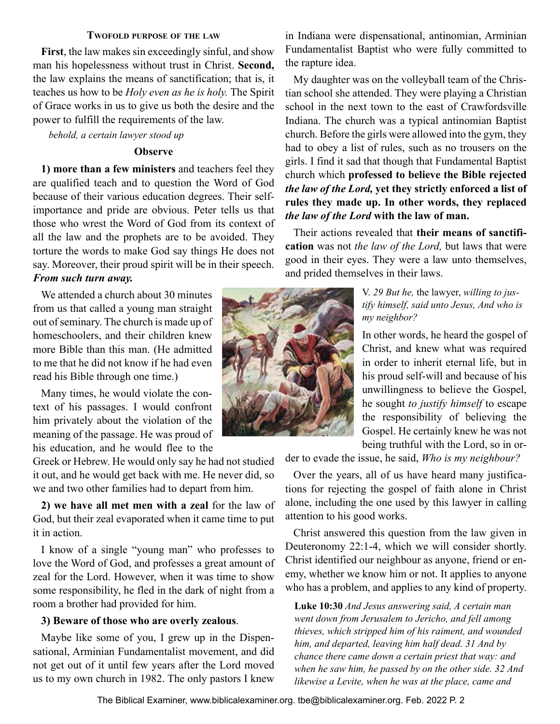#### **Twofold purpose of the law**

<span id="page-1-0"></span>**First**, the law makes sin exceedingly sinful, and show man his hopelessness without trust in Christ. **Second,** the law explains the means of sanctification; that is, it teaches us how to be *Holy even as he is holy.* The Spirit of Grace works in us to give us both the desire and the power to fulfill the requirements of the law.

*behold, a certain lawyer stood up*

#### **Observe**

**1) more than a few ministers** and teachers feel they are qualified teach and to question the Word of God because of their various education degrees. Their selfimportance and pride are obvious. Peter tells us that those who wrest the Word of God from its context of all the law and the prophets are to be avoided. They torture the words to make God say things He does not say. Moreover, their proud spirit will be in their speech.

#### *From such turn away.*

We attended a church about 30 minutes from us that called a young man straight out of seminary. The church is made up of homeschoolers, and their children knew more Bible than this man. (He admitted to me that he did not know if he had even read his Bible through one time.)

Many times, he would violate the context of his passages. I would confront him privately about the violation of the meaning of the passage. He was proud of his education, and he would flee to the

Greek or Hebrew. He would only say he had not studied it out, and he would get back with me. He never did, so we and two other families had to depart from him.

**2) we have all met men with a zeal** for the law of God, but their zeal evaporated when it came time to put it in action.

I know of a single "young man" who professes to love the Word of God, and professes a great amount of zeal for the Lord. However, when it was time to show some responsibility, he fled in the dark of night from a room a brother had provided for him.

#### **3) Beware of those who are overly zealous**.

Maybe like some of you, I grew up in the Dispensational, Arminian Fundamentalist movement, and did not get out of it until few years after the Lord moved us to my own church in 1982. The only pastors I knew



in Indiana were dispensational, antinomian, Arminian Fundamentalist Baptist who were fully committed to the rapture idea.

My daughter was on the volleyball team of the Christian school she attended. They were playing a Christian school in the next town to the east of Crawfordsville Indiana. The church was a typical antinomian Baptist church. Before the girls were allowed into the gym, they had to obey a list of rules, such as no trousers on the girls. I find it sad that though that Fundamental Baptist church which **professed to believe the Bible rejected**  *the law of the Lord,* **yet they strictly enforced a list of rules they made up. In other words, they replaced**  *the law of the Lord* **with the law of man.**

Their actions revealed that **their means of sanctification** was not *the law of the Lord,* but laws that were good in their eyes. They were a law unto themselves, and prided themselves in their laws.

#### V. *29 But he,* the lawyer, *willing to justify himself, said unto Jesus, And who is my neighbor?*

In other words, he heard the gospel of Christ, and knew what was required in order to inherit eternal life, but in his proud self-will and because of his unwillingness to believe the Gospel, he sought *to justify himself* to escape the responsibility of believing the Gospel. He certainly knew he was not being truthful with the Lord, so in or-

der to evade the issue, he said, *Who is my neighbour?*

Over the years, all of us have heard many justifications for rejecting the gospel of faith alone in Christ alone, including the one used by this lawyer in calling attention to his good works.

Christ answered this question from the law given in Deuteronomy 22:1-4, which we will consider shortly. Christ identified our neighbour as anyone, friend or enemy, whether we know him or not. It applies to anyone who has a problem, and applies to any kind of property.

**Luke 10:30** *And Jesus answering said, A certain man went down from Jerusalem to Jericho, and fell among thieves, which stripped him of his raiment, and wounded him, and departed, leaving him half dead. 31 And by chance there came down a certain priest that way: and when he saw him, he passed by on the other side. 32 And likewise a Levite, when he was at the place, came and*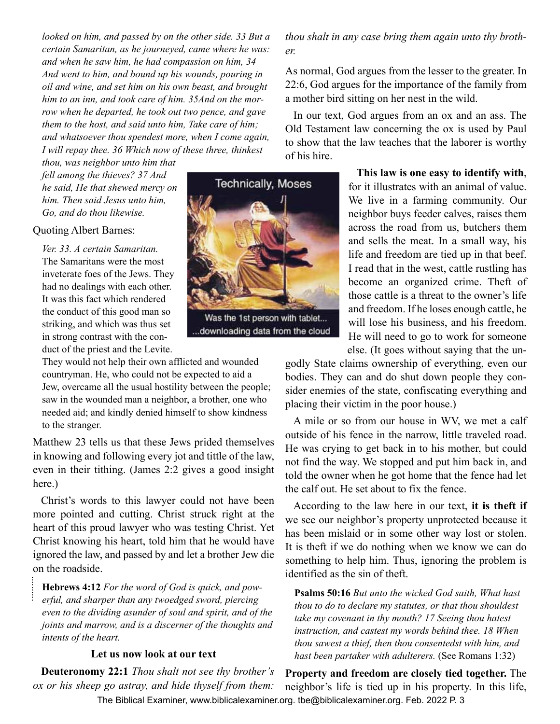*looked on him, and passed by on the other side. 33 But a certain Samaritan, as he journeyed, came where he was: and when he saw him, he had compassion on him, 34 And went to him, and bound up his wounds, pouring in oil and wine, and set him on his own beast, and brought him to an inn, and took care of him. 35And on the morrow when he departed, he took out two pence, and gave them to the host, and said unto him, Take care of him; and whatsoever thou spendest more, when I come again, I will repay thee. 36 Which now of these three, thinkest* 

*thou, was neighbor unto him that fell among the thieves? 37 And he said, He that shewed mercy on him. Then said Jesus unto him, Go, and do thou likewise.*

#### Quoting Albert Barnes:

..........

*Ver. 33. A certain Samaritan.* The Samaritans were the most inveterate foes of the Jews. They had no dealings with each other. It was this fact which rendered the conduct of this good man so striking, and which was thus set in strong contrast with the conduct of the priest and the Levite.

They would not help their own afflicted and wounded countryman. He, who could not be expected to aid a Jew, overcame all the usual hostility between the people; saw in the wounded man a neighbor, a brother, one who needed aid; and kindly denied himself to show kindness to the stranger.

Matthew 23 tells us that these Jews prided themselves in knowing and following every jot and tittle of the law, even in their tithing. (James 2:2 gives a good insight here.)

Christ's words to this lawyer could not have been more pointed and cutting. Christ struck right at the heart of this proud lawyer who was testing Christ. Yet Christ knowing his heart, told him that he would have ignored the law, and passed by and let a brother Jew die on the roadside.

**Hebrews 4:12** *For the word of God is quick, and powerful, and sharper than any twoedged sword, piercing even to the dividing asunder of soul and spirit, and of the joints and marrow, and is a discerner of the thoughts and intents of the heart.*

#### **Let us now look at our text**

**Deuteronomy 22:1** *Thou shalt not see thy brother's ox or his sheep go astray, and hide thyself from them:* 

*thou shalt in any case bring them again unto thy brother.*

As normal, God argues from the lesser to the greater. In 22:6, God argues for the importance of the family from a mother bird sitting on her nest in the wild.

In our text, God argues from an ox and an ass. The Old Testament law concerning the ox is used by Paul to show that the law teaches that the laborer is worthy of his hire.

> **This law is one easy to identify with**, for it illustrates with an animal of value. We live in a farming community. Our neighbor buys feeder calves, raises them across the road from us, butchers them and sells the meat. In a small way, his life and freedom are tied up in that beef. I read that in the west, cattle rustling has become an organized crime. Theft of those cattle is a threat to the owner's life and freedom. If he loses enough cattle, he will lose his business, and his freedom. He will need to go to work for someone else. (It goes without saying that the un-

godly State claims ownership of everything, even our bodies. They can and do shut down people they consider enemies of the state, confiscating everything and placing their victim in the poor house.)

A mile or so from our house in WV, we met a calf outside of his fence in the narrow, little traveled road. He was crying to get back in to his mother, but could not find the way. We stopped and put him back in, and told the owner when he got home that the fence had let the calf out. He set about to fix the fence.

According to the law here in our text, **it is theft if** we see our neighbor's property unprotected because it has been mislaid or in some other way lost or stolen. It is theft if we do nothing when we know we can do something to help him. Thus, ignoring the problem is identified as the sin of theft.

**Psalms 50:16** *But unto the wicked God saith, What hast thou to do to declare my statutes, or that thou shouldest take my covenant in thy mouth? 17 Seeing thou hatest instruction, and castest my words behind thee. 18 When thou sawest a thief, then thou consentedst with him, and hast been partaker with adulterers.* (See Romans 1:32)

The Biblical Examiner, www.biblicalexaminer.org. tbe@biblicalexaminer.org. Feb. 2022 P. 3 **Property and freedom are closely tied together.** The neighbor's life is tied up in his property. In this life,



Was the 1st person with tablet... downloading data from the cloud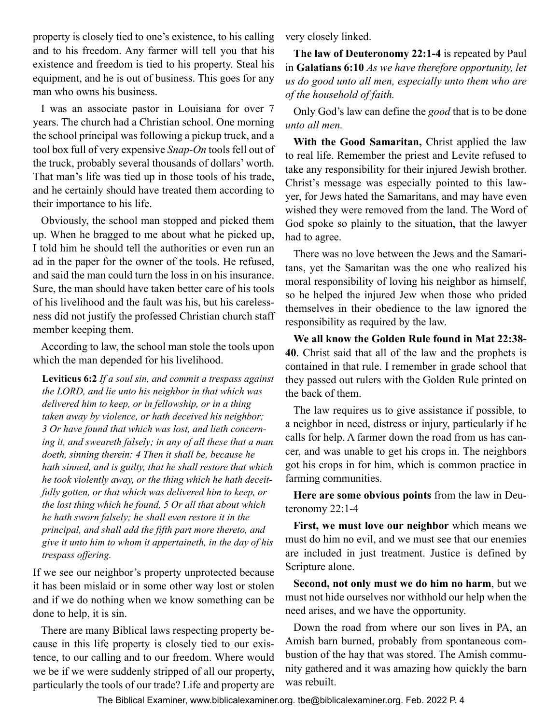property is closely tied to one's existence, to his calling and to his freedom. Any farmer will tell you that his existence and freedom is tied to his property. Steal his equipment, and he is out of business. This goes for any man who owns his business.

I was an associate pastor in Louisiana for over 7 years. The church had a Christian school. One morning the school principal was following a pickup truck, and a tool box full of very expensive *Snap-On* tools fell out of the truck, probably several thousands of dollars' worth. That man's life was tied up in those tools of his trade, and he certainly should have treated them according to their importance to his life.

Obviously, the school man stopped and picked them up. When he bragged to me about what he picked up, I told him he should tell the authorities or even run an ad in the paper for the owner of the tools. He refused, and said the man could turn the loss in on his insurance. Sure, the man should have taken better care of his tools of his livelihood and the fault was his, but his carelessness did not justify the professed Christian church staff member keeping them.

According to law, the school man stole the tools upon which the man depended for his livelihood.

**Leviticus 6:2** *If a soul sin, and commit a trespass against the LORD, and lie unto his neighbor in that which was delivered him to keep, or in fellowship, or in a thing taken away by violence, or hath deceived his neighbor; 3 Or have found that which was lost, and lieth concerning it, and sweareth falsely; in any of all these that a man doeth, sinning therein: 4 Then it shall be, because he hath sinned, and is guilty, that he shall restore that which he took violently away, or the thing which he hath deceitfully gotten, or that which was delivered him to keep, or the lost thing which he found, 5 Or all that about which he hath sworn falsely; he shall even restore it in the principal, and shall add the fifth part more thereto, and give it unto him to whom it appertaineth, in the day of his trespass offering.*

If we see our neighbor's property unprotected because it has been mislaid or in some other way lost or stolen and if we do nothing when we know something can be done to help, it is sin.

There are many Biblical laws respecting property because in this life property is closely tied to our existence, to our calling and to our freedom. Where would we be if we were suddenly stripped of all our property, particularly the tools of our trade? Life and property are

very closely linked.

**The law of Deuteronomy 22:1-4** is repeated by Paul in **Galatians 6:10** *As we have therefore opportunity, let us do good unto all men, especially unto them who are of the household of faith.*

Only God's law can define the *good* that is to be done *unto all men.*

**With the Good Samaritan,** Christ applied the law to real life. Remember the priest and Levite refused to take any responsibility for their injured Jewish brother. Christ's message was especially pointed to this lawyer, for Jews hated the Samaritans, and may have even wished they were removed from the land. The Word of God spoke so plainly to the situation, that the lawyer had to agree.

There was no love between the Jews and the Samaritans, yet the Samaritan was the one who realized his moral responsibility of loving his neighbor as himself, so he helped the injured Jew when those who prided themselves in their obedience to the law ignored the responsibility as required by the law.

**We all know the Golden Rule found in Mat 22:38- 40**. Christ said that all of the law and the prophets is contained in that rule. I remember in grade school that they passed out rulers with the Golden Rule printed on the back of them.

The law requires us to give assistance if possible, to a neighbor in need, distress or injury, particularly if he calls for help. A farmer down the road from us has cancer, and was unable to get his crops in. The neighbors got his crops in for him, which is common practice in farming communities.

**Here are some obvious points** from the law in Deuteronomy 22:1-4

**First, we must love our neighbor** which means we must do him no evil, and we must see that our enemies are included in just treatment. Justice is defined by Scripture alone.

**Second, not only must we do him no harm**, but we must not hide ourselves nor withhold our help when the need arises, and we have the opportunity.

Down the road from where our son lives in PA, an Amish barn burned, probably from spontaneous combustion of the hay that was stored. The Amish community gathered and it was amazing how quickly the barn was rebuilt.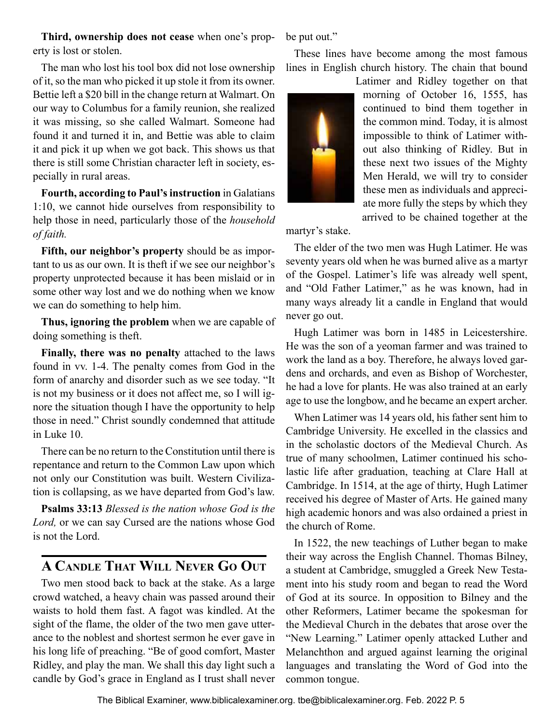<span id="page-4-0"></span>**Third, ownership does not cease** when one's property is lost or stolen.

The man who lost his tool box did not lose ownership of it, so the man who picked it up stole it from its owner. Bettie left a \$20 bill in the change return at Walmart. On our way to Columbus for a family reunion, she realized it was missing, so she called Walmart. Someone had found it and turned it in, and Bettie was able to claim it and pick it up when we got back. This shows us that there is still some Christian character left in society, especially in rural areas.

**Fourth, according to Paul's instruction** in Galatians 1:10, we cannot hide ourselves from responsibility to help those in need, particularly those of the *household of faith.*

**Fifth, our neighbor's property** should be as important to us as our own. It is theft if we see our neighbor's property unprotected because it has been mislaid or in some other way lost and we do nothing when we know we can do something to help him.

**Thus, ignoring the problem** when we are capable of doing something is theft.

**Finally, there was no penalty** attached to the laws found in vv. 1-4. The penalty comes from God in the form of anarchy and disorder such as we see today. "It is not my business or it does not affect me, so I will ignore the situation though I have the opportunity to help those in need." Christ soundly condemned that attitude in Luke 10.

There can be no return to the Constitution until there is repentance and return to the Common Law upon which not only our Constitution was built. Western Civilization is collapsing, as we have departed from God's law.

**Psalms 33:13** *Blessed is the nation whose God is the Lord,* or we can say Cursed are the nations whose God is not the Lord.

## **A Candle That Will Never Go Out**

Two men stood back to back at the stake. As a large crowd watched, a heavy chain was passed around their waists to hold them fast. A fagot was kindled. At the sight of the flame, the older of the two men gave utterance to the noblest and shortest sermon he ever gave in his long life of preaching. "Be of good comfort, Master Ridley, and play the man. We shall this day light such a candle by God's grace in England as I trust shall never be put out."

These lines have become among the most famous lines in English church history. The chain that bound



Latimer and Ridley together on that morning of October 16, 1555, has continued to bind them together in the common mind. Today, it is almost impossible to think of Latimer without also thinking of Ridley. But in these next two issues of the Mighty Men Herald, we will try to consider these men as individuals and appreciate more fully the steps by which they arrived to be chained together at the

martyr's stake.

The elder of the two men was Hugh Latimer. He was seventy years old when he was burned alive as a martyr of the Gospel. Latimer's life was already well spent, and "Old Father Latimer," as he was known, had in many ways already lit a candle in England that would never go out.

Hugh Latimer was born in 1485 in Leicestershire. He was the son of a yeoman farmer and was trained to work the land as a boy. Therefore, he always loved gardens and orchards, and even as Bishop of Worchester, he had a love for plants. He was also trained at an early age to use the longbow, and he became an expert archer.

When Latimer was 14 years old, his father sent him to Cambridge University. He excelled in the classics and in the scholastic doctors of the Medieval Church. As true of many schoolmen, Latimer continued his scholastic life after graduation, teaching at Clare Hall at Cambridge. In 1514, at the age of thirty, Hugh Latimer received his degree of Master of Arts. He gained many high academic honors and was also ordained a priest in the church of Rome.

In 1522, the new teachings of Luther began to make their way across the English Channel. Thomas Bilney, a student at Cambridge, smuggled a Greek New Testament into his study room and began to read the Word of God at its source. In opposition to Bilney and the other Reformers, Latimer became the spokesman for the Medieval Church in the debates that arose over the "New Learning." Latimer openly attacked Luther and Melanchthon and argued against learning the original languages and translating the Word of God into the common tongue.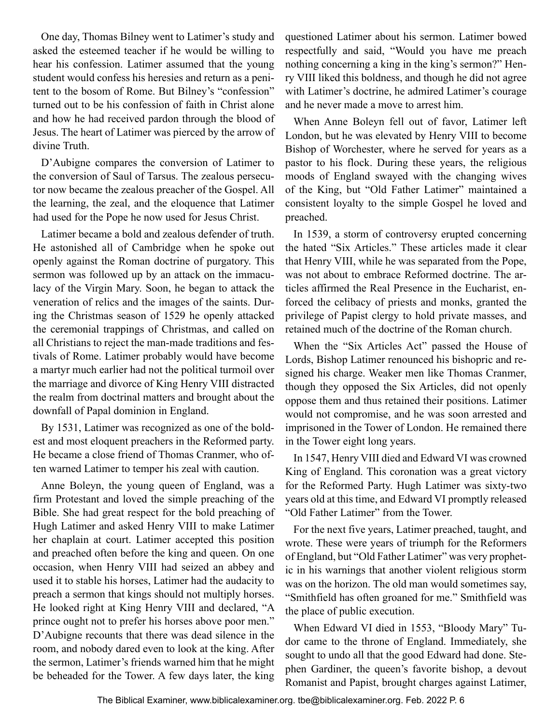One day, Thomas Bilney went to Latimer's study and asked the esteemed teacher if he would be willing to hear his confession. Latimer assumed that the young student would confess his heresies and return as a penitent to the bosom of Rome. But Bilney's "confession" turned out to be his confession of faith in Christ alone and how he had received pardon through the blood of Jesus. The heart of Latimer was pierced by the arrow of divine Truth.

D'Aubigne compares the conversion of Latimer to the conversion of Saul of Tarsus. The zealous persecutor now became the zealous preacher of the Gospel. All the learning, the zeal, and the eloquence that Latimer had used for the Pope he now used for Jesus Christ.

Latimer became a bold and zealous defender of truth. He astonished all of Cambridge when he spoke out openly against the Roman doctrine of purgatory. This sermon was followed up by an attack on the immaculacy of the Virgin Mary. Soon, he began to attack the veneration of relics and the images of the saints. During the Christmas season of 1529 he openly attacked the ceremonial trappings of Christmas, and called on all Christians to reject the man-made traditions and festivals of Rome. Latimer probably would have become a martyr much earlier had not the political turmoil over the marriage and divorce of King Henry VIII distracted the realm from doctrinal matters and brought about the downfall of Papal dominion in England.

By 1531, Latimer was recognized as one of the boldest and most eloquent preachers in the Reformed party. He became a close friend of Thomas Cranmer, who often warned Latimer to temper his zeal with caution.

Anne Boleyn, the young queen of England, was a firm Protestant and loved the simple preaching of the Bible. She had great respect for the bold preaching of Hugh Latimer and asked Henry VIII to make Latimer her chaplain at court. Latimer accepted this position and preached often before the king and queen. On one occasion, when Henry VIII had seized an abbey and used it to stable his horses, Latimer had the audacity to preach a sermon that kings should not multiply horses. He looked right at King Henry VIII and declared, "A prince ought not to prefer his horses above poor men." D'Aubigne recounts that there was dead silence in the room, and nobody dared even to look at the king. After the sermon, Latimer's friends warned him that he might be beheaded for the Tower. A few days later, the king

questioned Latimer about his sermon. Latimer bowed respectfully and said, "Would you have me preach nothing concerning a king in the king's sermon?" Henry VIII liked this boldness, and though he did not agree with Latimer's doctrine, he admired Latimer's courage and he never made a move to arrest him.

When Anne Boleyn fell out of favor, Latimer left London, but he was elevated by Henry VIII to become Bishop of Worchester, where he served for years as a pastor to his flock. During these years, the religious moods of England swayed with the changing wives of the King, but "Old Father Latimer" maintained a consistent loyalty to the simple Gospel he loved and preached.

In 1539, a storm of controversy erupted concerning the hated "Six Articles." These articles made it clear that Henry VIII, while he was separated from the Pope, was not about to embrace Reformed doctrine. The articles affirmed the Real Presence in the Eucharist, enforced the celibacy of priests and monks, granted the privilege of Papist clergy to hold private masses, and retained much of the doctrine of the Roman church.

When the "Six Articles Act" passed the House of Lords, Bishop Latimer renounced his bishopric and resigned his charge. Weaker men like Thomas Cranmer, though they opposed the Six Articles, did not openly oppose them and thus retained their positions. Latimer would not compromise, and he was soon arrested and imprisoned in the Tower of London. He remained there in the Tower eight long years.

In 1547, Henry VIII died and Edward VI was crowned King of England. This coronation was a great victory for the Reformed Party. Hugh Latimer was sixty-two years old at this time, and Edward VI promptly released "Old Father Latimer" from the Tower.

For the next five years, Latimer preached, taught, and wrote. These were years of triumph for the Reformers of England, but "Old Father Latimer" was very prophetic in his warnings that another violent religious storm was on the horizon. The old man would sometimes say, "Smithfield has often groaned for me." Smithfield was the place of public execution.

When Edward VI died in 1553, "Bloody Mary" Tudor came to the throne of England. Immediately, she sought to undo all that the good Edward had done. Stephen Gardiner, the queen's favorite bishop, a devout Romanist and Papist, brought charges against Latimer,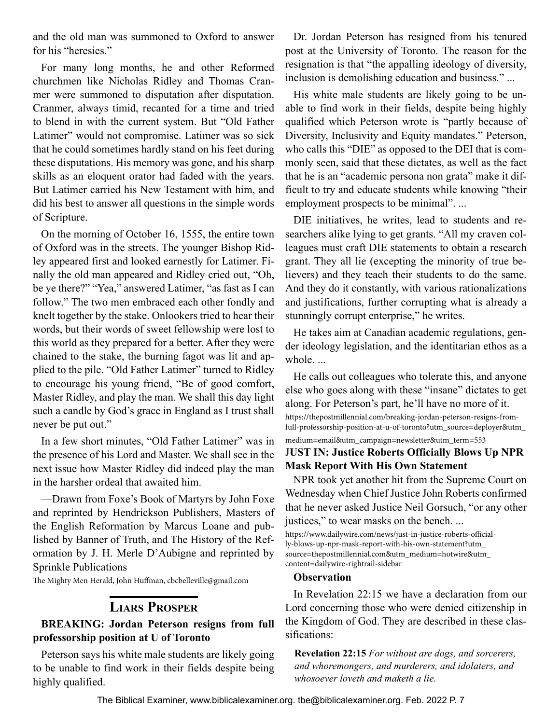<span id="page-6-0"></span>and the old man was summoned to Oxford to answer for his "heresies."

For many long months, he and other Reformed churchmen like Nicholas Ridley and Thomas Cranmer were summoned to disputation after disputation. Cranmer, always timid, recanted for a time and tried to blend in with the current system. But "Old Father Latimer" would not compromise. Latimer was so sick that he could sometimes hardly stand on his feet during these disputations. His memory was gone, and his sharp skills as an eloquent orator had faded with the years. But Latimer carried his New Testament with him, and did his best to answer all questions in the simple words of Scripture.

On the morning of October 16, 1555, the entire town of Oxford was in the streets. The younger Bishop Ridley appeared first and looked earnestly for Latimer. Finally the old man appeared and Ridley cried out, "Oh, be ye there?" "Yea," answered Latimer, "as fast as I can follow." The two men embraced each other fondly and knelt together by the stake. Onlookers tried to hear their words, but their words of sweet fellowship were lost to this world as they prepared for a better. After they were chained to the stake, the burning fagot was lit and applied to the pile. "Old Father Latimer" turned to Ridley to encourage his young friend, "Be of good comfort, Master Ridley, and play the man. We shall this day light such a candle by God's grace in England as I trust shall never be put out."

In a few short minutes, "Old Father Latimer" was in the presence of his Lord and Master. We shall see in the next issue how Master Ridley did indeed play the man in the harsher ordeal that awaited him.

—Drawn from Foxe's Book of Martyrs by John Foxe and reprinted by Hendrickson Publishers, Masters of the English Reformation by Marcus Loane and published by Banner of Truth, and The History of the Reformation by J. H. Merle D'Aubigne and reprinted by Sprinkle Publications

The Mighty Men Herald, John Huffman, cbcbelleville@gmail.com

## **Liars Prosper**

#### **BREAKING: Jordan Peterson resigns from full professorship position at U of Toronto**

Peterson says his white male students are likely going to be unable to find work in their fields despite being highly qualified.

Dr. Jordan Peterson has resigned from his tenured post at the University of Toronto. The reason for the resignation is that "the appalling ideology of diversity, inclusion is demolishing education and business." ...

His white male students are likely going to be unable to find work in their fields, despite being highly qualified which Peterson wrote is "partly because of Diversity, Inclusivity and Equity mandates." Peterson, who calls this "DIE" as opposed to the DEI that is commonly seen, said that these dictates, as well as the fact that he is an "academic persona non grata" make it difficult to try and educate students while knowing "their employment prospects to be minimal". ...

DIE initiatives, he writes, lead to students and researchers alike lying to get grants. "All my craven colleagues must craft DIE statements to obtain a research grant. They all lie (excepting the minority of true believers) and they teach their students to do the same. And they do it constantly, with various rationalizations and justifications, further corrupting what is already a stunningly corrupt enterprise," he writes.

He takes aim at Canadian academic regulations, gender ideology legislation, and the identitarian ethos as a whole. ...

He calls out colleagues who tolerate this, and anyone else who goes along with these "insane" dictates to get along. For Peterson's part, he'll have no more of it. https://thepostmillennial.com/breaking-jordan-peterson-resigns-fromfull-professorship-position-at-u-of-toronto?utm\_source=deployer&utm\_ medium=email&utm\_campaign=newsletter&utm\_term=553

#### J**UST IN: Justice Roberts Officially Blows Up NPR Mask Report With His Own Statement**

NPR took yet another hit from the Supreme Court on Wednesday when Chief Justice John Roberts confirmed that he never asked Justice Neil Gorsuch, "or any other justices," to wear masks on the bench. ...

https://www.dailywire.com/news/just-in-justice-roberts-officially-blows-up-npr-mask-report-with-his-own-statement?utm\_ source=thepostmillennial.com&utm\_medium=hotwire&utm\_ content=dailywire-rightrail-sidebar

#### **Observation**

In Revelation 22:15 we have a declaration from our Lord concerning those who were denied citizenship in the Kingdom of God. They are described in these classifications:

**Revelation 22:15** *For without are dogs, and sorcerers, and whoremongers, and murderers, and idolaters, and whosoever loveth and maketh a lie.*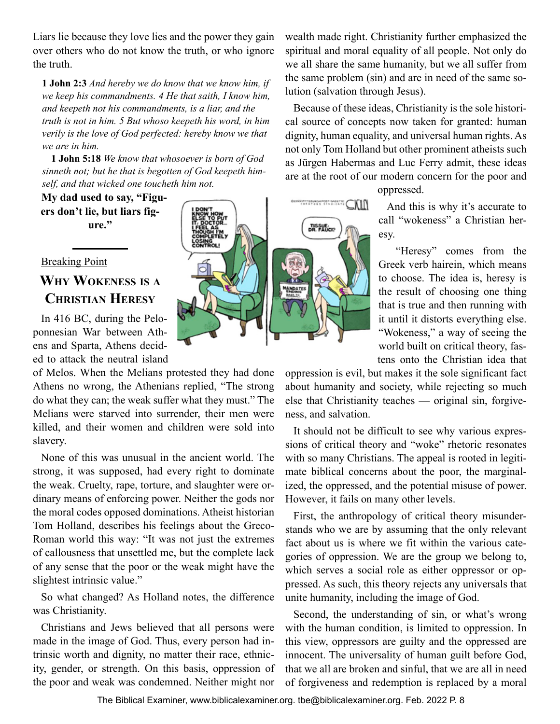<span id="page-7-0"></span>Liars lie because they love lies and the power they gain over others who do not know the truth, or who ignore the truth.

**1 John 2:3** *And hereby we do know that we know him, if we keep his commandments. 4 He that saith, I know him, and keepeth not his commandments, is a liar, and the truth is not in him. 5 But whoso keepeth his word, in him verily is the love of God perfected: hereby know we that we are in him.*

**1 John 5:18** *We know that whosoever is born of God sinneth not; but he that is begotten of God keepeth himself, and that wicked one toucheth him not.*

Breaking Point

## **Why Wokeness is <sup>a</sup> Christian Heresy**

In 416 BC, during the Peloponnesian War between Athens and Sparta, Athens decided to attack the neutral island

of Melos. When the Melians protested they had done Athens no wrong, the Athenians replied, "The strong do what they can; the weak suffer what they must." The Melians were starved into surrender, their men were killed, and their women and children were sold into slavery.

None of this was unusual in the ancient world. The strong, it was supposed, had every right to dominate the weak. Cruelty, rape, torture, and slaughter were ordinary means of enforcing power. Neither the gods nor the moral codes opposed dominations. Atheist historian Tom Holland, describes his feelings about the Greco-Roman world this way: "It was not just the extremes of callousness that unsettled me, but the complete lack of any sense that the poor or the weak might have the slightest intrinsic value."

So what changed? As Holland notes, the difference was Christianity.

Christians and Jews believed that all persons were made in the image of God. Thus, every person had intrinsic worth and dignity, no matter their race, ethnicity, gender, or strength. On this basis, oppression of the poor and weak was condemned. Neither might nor



wealth made right. Christianity further emphasized the spiritual and moral equality of all people. Not only do we all share the same humanity, but we all suffer from the same problem (sin) and are in need of the same solution (salvation through Jesus).

Because of these ideas, Christianity is the sole historical source of concepts now taken for granted: human dignity, human equality, and universal human rights. As not only Tom Holland but other prominent atheists such as Jürgen Habermas and Luc Ferry admit, these ideas are at the root of our modern concern for the poor and

oppressed.

And this is why it's accurate to call "wokeness" a Christian heresy.

 "Heresy" comes from the Greek verb hairein, which means to choose. The idea is, heresy is the result of choosing one thing that is true and then running with it until it distorts everything else. "Wokeness," a way of seeing the world built on critical theory, fastens onto the Christian idea that

oppression is evil, but makes it the sole significant fact about humanity and society, while rejecting so much else that Christianity teaches — original sin, forgiveness, and salvation.

It should not be difficult to see why various expressions of critical theory and "woke" rhetoric resonates with so many Christians. The appeal is rooted in legitimate biblical concerns about the poor, the marginalized, the oppressed, and the potential misuse of power. However, it fails on many other levels.

First, the anthropology of critical theory misunderstands who we are by assuming that the only relevant fact about us is where we fit within the various categories of oppression. We are the group we belong to, which serves a social role as either oppressor or oppressed. As such, this theory rejects any universals that unite humanity, including the image of God.

Second, the understanding of sin, or what's wrong with the human condition, is limited to oppression. In this view, oppressors are guilty and the oppressed are innocent. The universality of human guilt before God, that we all are broken and sinful, that we are all in need of forgiveness and redemption is replaced by a moral

**My dad used to say, "Figuers don't lie, but liars figure."**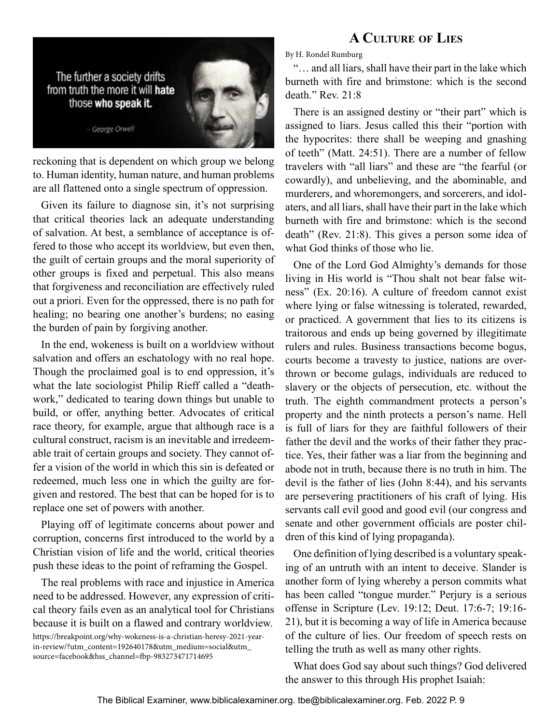<span id="page-8-0"></span>

reckoning that is dependent on which group we belong to. Human identity, human nature, and human problems are all flattened onto a single spectrum of oppression.

Given its failure to diagnose sin, it's not surprising that critical theories lack an adequate understanding of salvation. At best, a semblance of acceptance is offered to those who accept its worldview, but even then, the guilt of certain groups and the moral superiority of other groups is fixed and perpetual. This also means that forgiveness and reconciliation are effectively ruled out a priori. Even for the oppressed, there is no path for healing; no bearing one another's burdens; no easing the burden of pain by forgiving another.

In the end, wokeness is built on a worldview without salvation and offers an eschatology with no real hope. Though the proclaimed goal is to end oppression, it's what the late sociologist Philip Rieff called a "deathwork," dedicated to tearing down things but unable to build, or offer, anything better. Advocates of critical race theory, for example, argue that although race is a cultural construct, racism is an inevitable and irredeemable trait of certain groups and society. They cannot offer a vision of the world in which this sin is defeated or redeemed, much less one in which the guilty are forgiven and restored. The best that can be hoped for is to replace one set of powers with another.

Playing off of legitimate concerns about power and corruption, concerns first introduced to the world by a Christian vision of life and the world, critical theories push these ideas to the point of reframing the Gospel.

The real problems with race and injustice in America need to be addressed. However, any expression of critical theory fails even as an analytical tool for Christians because it is built on a flawed and contrary worldview.

https://breakpoint.org/why-wokeness-is-a-christian-heresy-2021-yearin-review/?utm\_content=192640178&utm\_medium=social&utm\_ source=facebook&hss\_channel=fbp-983273471714695

By H. Rondel Rumburg

"… and all liars, shall have their part in the lake which burneth with fire and brimstone: which is the second death." Rev. 21:8

There is an assigned destiny or "their part" which is assigned to liars. Jesus called this their "portion with the hypocrites: there shall be weeping and gnashing of teeth" (Matt. 24:51). There are a number of fellow travelers with "all liars" and these are "the fearful (or cowardly), and unbelieving, and the abominable, and murderers, and whoremongers, and sorcerers, and idolaters, and all liars, shall have their part in the lake which burneth with fire and brimstone: which is the second death" (Rev. 21:8). This gives a person some idea of what God thinks of those who lie.

One of the Lord God Almighty's demands for those living in His world is "Thou shalt not bear false witness" (Ex. 20:16). A culture of freedom cannot exist where lying or false witnessing is tolerated, rewarded, or practiced. A government that lies to its citizens is traitorous and ends up being governed by illegitimate rulers and rules. Business transactions become bogus, courts become a travesty to justice, nations are overthrown or become gulags, individuals are reduced to slavery or the objects of persecution, etc. without the truth. The eighth commandment protects a person's property and the ninth protects a person's name. Hell is full of liars for they are faithful followers of their father the devil and the works of their father they practice. Yes, their father was a liar from the beginning and abode not in truth, because there is no truth in him. The devil is the father of lies (John 8:44), and his servants are persevering practitioners of his craft of lying. His servants call evil good and good evil (our congress and senate and other government officials are poster children of this kind of lying propaganda).

One definition of lying described is a voluntary speaking of an untruth with an intent to deceive. Slander is another form of lying whereby a person commits what has been called "tongue murder." Perjury is a serious offense in Scripture (Lev. 19:12; Deut. 17:6-7; 19:16- 21), but it is becoming a way of life in America because of the culture of lies. Our freedom of speech rests on telling the truth as well as many other rights.

What does God say about such things? God delivered the answer to this through His prophet Isaiah:

## **A Culture of Lies**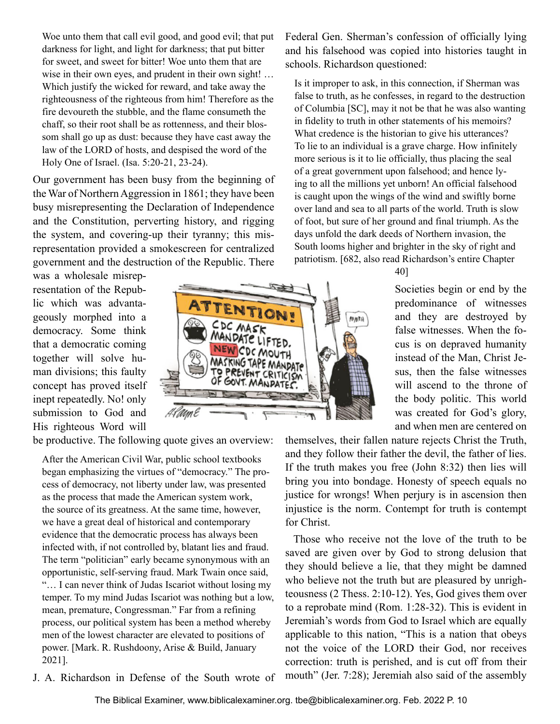Woe unto them that call evil good, and good evil; that put darkness for light, and light for darkness; that put bitter for sweet, and sweet for bitter! Woe unto them that are wise in their own eyes, and prudent in their own sight! ... Which justify the wicked for reward, and take away the righteousness of the righteous from him! Therefore as the fire devoureth the stubble, and the flame consumeth the chaff, so their root shall be as rottenness, and their blossom shall go up as dust: because they have cast away the law of the LORD of hosts, and despised the word of the Holy One of Israel. (Isa. 5:20-21, 23-24).

Our government has been busy from the beginning of the War of Northern Aggression in 1861; they have been busy misrepresenting the Declaration of Independence and the Constitution, perverting history, and rigging the system, and covering-up their tyranny; this misrepresentation provided a smokescreen for centralized government and the destruction of the Republic. There

was a wholesale misrepresentation of the Republic which was advantageously morphed into a democracy. Some think that a democratic coming together will solve human divisions; this faulty concept has proved itself inept repeatedly. No! only submission to God and His righteous Word will

be productive. The following quote gives an overview:

After the American Civil War, public school textbooks began emphasizing the virtues of "democracy." The process of democracy, not liberty under law, was presented as the process that made the American system work, the source of its greatness. At the same time, however, we have a great deal of historical and contemporary evidence that the democratic process has always been infected with, if not controlled by, blatant lies and fraud. The term "politician" early became synonymous with an opportunistic, self-serving fraud. Mark Twain once said, "… I can never think of Judas Iscariot without losing my temper. To my mind Judas Iscariot was nothing but a low, mean, premature, Congressman." Far from a refining process, our political system has been a method whereby men of the lowest character are elevated to positions of power. [Mark. R. Rushdoony, Arise & Build, January 2021].

J. A. Richardson in Defense of the South wrote of

Federal Gen. Sherman's confession of officially lying and his falsehood was copied into histories taught in schools. Richardson questioned:

Is it improper to ask, in this connection, if Sherman was false to truth, as he confesses, in regard to the destruction of Columbia [SC], may it not be that he was also wanting in fidelity to truth in other statements of his memoirs? What credence is the historian to give his utterances? To lie to an individual is a grave charge. How infinitely more serious is it to lie officially, thus placing the seal of a great government upon falsehood; and hence lying to all the millions yet unborn! An official falsehood is caught upon the wings of the wind and swiftly borne over land and sea to all parts of the world. Truth is slow of foot, but sure of her ground and final triumph. As the days unfold the dark deeds of Northern invasion, the South looms higher and brighter in the sky of right and patriotism. [682, also read Richardson's entire Chapter

40]

Societies begin or end by the predominance of witnesses and they are destroyed by false witnesses. When the focus is on depraved humanity instead of the Man, Christ Jesus, then the false witnesses will ascend to the throne of the body politic. This world was created for God's glory, and when men are centered on

themselves, their fallen nature rejects Christ the Truth, and they follow their father the devil, the father of lies. If the truth makes you free (John 8:32) then lies will bring you into bondage. Honesty of speech equals no justice for wrongs! When perjury is in ascension then injustice is the norm. Contempt for truth is contempt for Christ.

Those who receive not the love of the truth to be saved are given over by God to strong delusion that they should believe a lie, that they might be damned who believe not the truth but are pleasured by unrighteousness (2 Thess. 2:10-12). Yes, God gives them over to a reprobate mind (Rom. 1:28-32). This is evident in Jeremiah's words from God to Israel which are equally applicable to this nation, "This is a nation that obeys not the voice of the LORD their God, nor receives correction: truth is perished, and is cut off from their mouth" (Jer. 7:28); Jeremiah also said of the assembly

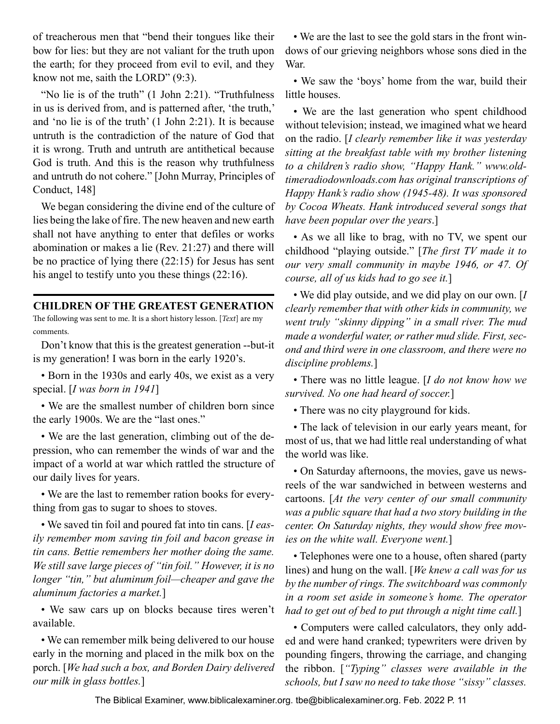<span id="page-10-0"></span>of treacherous men that "bend their tongues like their bow for lies: but they are not valiant for the truth upon the earth; for they proceed from evil to evil, and they know not me, saith the LORD" (9:3).

"No lie is of the truth" (1 John 2:21). "Truthfulness in us is derived from, and is patterned after, 'the truth,' and 'no lie is of the truth' (1 John 2:21). It is because untruth is the contradiction of the nature of God that it is wrong. Truth and untruth are antithetical because God is truth. And this is the reason why truthfulness and untruth do not cohere." [John Murray, Principles of Conduct, 148]

We began considering the divine end of the culture of lies being the lake of fire. The new heaven and new earth shall not have anything to enter that defiles or works abomination or makes a lie (Rev. 21:27) and there will be no practice of lying there (22:15) for Jesus has sent his angel to testify unto you these things (22:16).

#### **CHILDREN OF THE GREATEST GENERATION**

The following was sent to me. It is a short history lesson. [*Text*] are my comments.

Don't know that this is the greatest generation --but-it is my generation! I was born in the early 1920's.

• Born in the 1930s and early 40s, we exist as a very special. [*I was born in 1941*]

• We are the smallest number of children born since the early 1900s. We are the "last ones."

• We are the last generation, climbing out of the depression, who can remember the winds of war and the impact of a world at war which rattled the structure of our daily lives for years.

• We are the last to remember ration books for everything from gas to sugar to shoes to stoves.

• We saved tin foil and poured fat into tin cans. [*I easily remember mom saving tin foil and bacon grease in tin cans. Bettie remembers her mother doing the same. We still save large pieces of "tin foil." However, it is no longer "tin," but aluminum foil—cheaper and gave the aluminum factories a market.*]

• We saw cars up on blocks because tires weren't available.

• We can remember milk being delivered to our house early in the morning and placed in the milk box on the porch. [*We had such a box, and Borden Dairy delivered our milk in glass bottles.*]

• We are the last to see the gold stars in the front windows of our grieving neighbors whose sons died in the War.

• We saw the 'boys' home from the war, build their little houses.

• We are the last generation who spent childhood without television; instead, we imagined what we heard on the radio. [*I clearly remember like it was yesterday sitting at the breakfast table with my brother listening to a children's radio show, "Happy Hank." www.oldtimeradiodownloads.com has original transcriptions of Happy Hank's radio show (1945-48). It was sponsored by Cocoa Wheats. Hank introduced several songs that have been popular over the years*.]

• As we all like to brag, with no TV, we spent our childhood "playing outside." [*The first TV made it to our very small community in maybe 1946, or 47. Of course, all of us kids had to go see it.*]

• We did play outside, and we did play on our own. [*I clearly remember that with other kids in community, we went truly "skinny dipping" in a small river. The mud made a wonderful water, or rather mud slide. First, second and third were in one classroom, and there were no discipline problems.*]

• There was no little league. [*I do not know how we survived. No one had heard of soccer.*]

• There was no city playground for kids.

• The lack of television in our early years meant, for most of us, that we had little real understanding of what the world was like.

• On Saturday afternoons, the movies, gave us newsreels of the war sandwiched in between westerns and cartoons. [*At the very center of our small community was a public square that had a two story building in the center. On Saturday nights, they would show free movies on the white wall. Everyone went.*]

• Telephones were one to a house, often shared (party lines) and hung on the wall. [*We knew a call was for us by the number of rings. The switchboard was commonly in a room set aside in someone's home. The operator had to get out of bed to put through a night time call.*]

• Computers were called calculators, they only added and were hand cranked; typewriters were driven by pounding fingers, throwing the carriage, and changing the ribbon. [*"Typing" classes were available in the schools, but I saw no need to take those "sissy" classes.*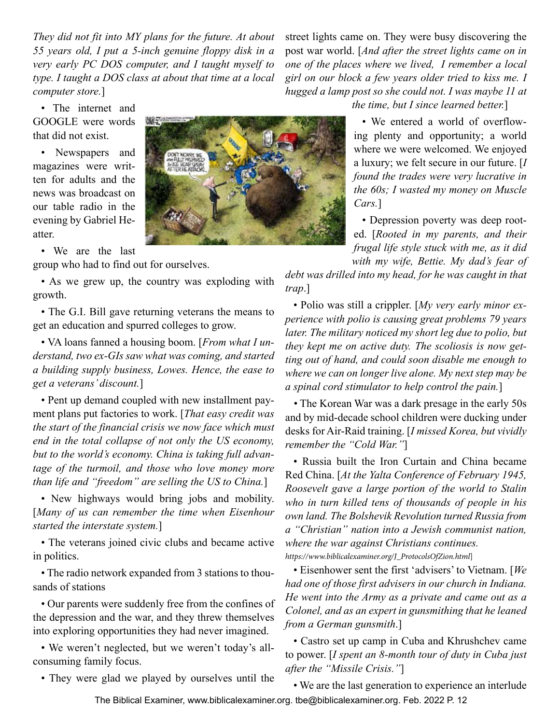*They did not fit into MY plans for the future. At about 55 years old, I put a 5-inch genuine floppy disk in a very early PC DOS computer, and I taught myself to type. I taught a DOS class at about that time at a local computer store.*]

• The internet and GOOGLE were words that did not exist.

• Newspapers and magazines were written for adults and the news was broadcast on our table radio in the evening by Gabriel Heatter.

• We are the last group who had to find out for ourselves.

• As we grew up, the country was exploding with growth.

• The G.I. Bill gave returning veterans the means to get an education and spurred colleges to grow.

• VA loans fanned a housing boom. [*From what I understand, two ex-GIs saw what was coming, and started a building supply business, Lowes. Hence, the ease to get a veterans' discount.*]

• Pent up demand coupled with new installment payment plans put factories to work. [*That easy credit was the start of the financial crisis we now face which must end in the total collapse of not only the US economy, but to the world's economy. China is taking full advantage of the turmoil, and those who love money more than life and "freedom" are selling the US to China.*]

• New highways would bring jobs and mobility. [*Many of us can remember the time when Eisenhour started the interstate system.*]

• The veterans joined civic clubs and became active in politics.

• The radio network expanded from 3 stations to thousands of stations

• Our parents were suddenly free from the confines of the depression and the war, and they threw themselves into exploring opportunities they had never imagined.

• We weren't neglected, but we weren't today's allconsuming family focus.

• They were glad we played by ourselves until the

street lights came on. They were busy discovering the post war world. [*And after the street lights came on in one of the places where we lived, I remember a local girl on our block a few years older tried to kiss me. I hugged a lamp post so she could not. I was maybe 11 at the time, but I since learned better.*]

> • We entered a world of overflowing plenty and opportunity; a world where we were welcomed. We enjoyed a luxury; we felt secure in our future. [*I found the trades were very lucrative in the 60s; I wasted my money on Muscle Cars.*]

> • Depression poverty was deep rooted. [*Rooted in my parents, and their frugal life style stuck with me, as it did with my wife, Bettie. My dad's fear of*

*debt was drilled into my head, for he was caught in that trap*.]

• Polio was still a crippler. [*My very early minor experience with polio is causing great problems 79 years later. The military noticed my short leg due to polio, but they kept me on active duty. The scoliosis is now getting out of hand, and could soon disable me enough to where we can on longer live alone. My next step may be a spinal cord stimulator to help control the pain.*]

*•* The Korean War was a dark presage in the early 50s and by mid-decade school children were ducking under desks for Air-Raid training. [*I missed Korea, but vividly remember the "Cold War."*]

• Russia built the Iron Curtain and China became Red China. [*At the Yalta Conference of February 1945, Roosevelt gave a large portion of the world to Stalin who in turn killed tens of thousands of people in his own land. The Bolshevik Revolution turned Russia from a "Christian" nation into a Jewish communist nation, where the war against Christians continues. https://www.biblicalexaminer.org/J\_ProtocolsOfZion.html*]

• Eisenhower sent the first 'advisers' to Vietnam. [*We had one of those first advisers in our church in Indiana. He went into the Army as a private and came out as a Colonel, and as an expert in gunsmithing that he leaned from a German gunsmith*.]

• Castro set up camp in Cuba and Khrushchev came to power. [*I spent an 8-month tour of duty in Cuba just after the "Missile Crisis."*]

The Biblical Examiner, www.biblicalexaminer.org. tbe@biblicalexaminer.org. Feb. 2022 P. 12 • We are the last generation to experience an interlude

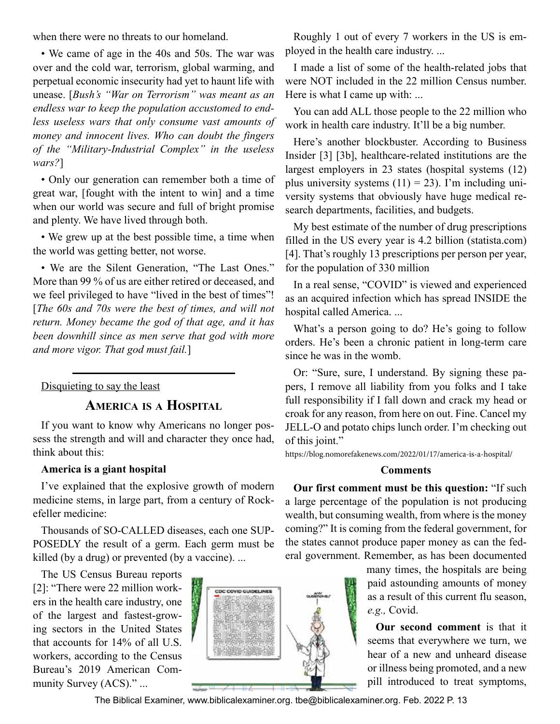<span id="page-12-0"></span>when there were no threats to our homeland.

• We came of age in the 40s and 50s. The war was over and the cold war, terrorism, global warming, and perpetual economic insecurity had yet to haunt life with unease. [*Bush's "War on Terrorism" was meant as an endless war to keep the population accustomed to endless useless wars that only consume vast amounts of money and innocent lives. Who can doubt the fingers of the "Military-Industrial Complex" in the useless wars?*]

• Only our generation can remember both a time of great war, [fought with the intent to win] and a time when our world was secure and full of bright promise and plenty. We have lived through both.

• We grew up at the best possible time, a time when the world was getting better, not worse.

• We are the Silent Generation, "The Last Ones." More than 99 % of us are either retired or deceased, and we feel privileged to have "lived in the best of times"! [*The 60s and 70s were the best of times, and will not return. Money became the god of that age, and it has been downhill since as men serve that god with more and more vigor. That god must fail.*]

Disquieting to say the least

**America is <sup>a</sup> Hospital**

If you want to know why Americans no longer possess the strength and will and character they once had, think about this:

#### **America is a giant hospital**

I've explained that the explosive growth of modern medicine stems, in large part, from a century of Rockefeller medicine:

Thousands of SO-CALLED diseases, each one SUP-POSEDLY the result of a germ. Each germ must be killed (by a drug) or prevented (by a vaccine). ...

The US Census Bureau reports [2]: "There were 22 million workers in the health care industry, one of the largest and fastest-growing sectors in the United States that accounts for 14% of all U.S. workers, according to the Census Bureau's 2019 American Community Survey (ACS)." ...



Roughly 1 out of every 7 workers in the US is employed in the health care industry. ...

I made a list of some of the health-related jobs that were NOT included in the 22 million Census number. Here is what I came up with: ...

You can add ALL those people to the 22 million who work in health care industry. It'll be a big number.

Here's another blockbuster. According to Business Insider [3] [3b], healthcare-related institutions are the largest employers in 23 states (hospital systems (12) plus university systems  $(11) = 23$ ). I'm including university systems that obviously have huge medical research departments, facilities, and budgets.

My best estimate of the number of drug prescriptions filled in the US every year is 4.2 billion (statista.com) [4]. That's roughly 13 prescriptions per person per year, for the population of 330 million

In a real sense, "COVID" is viewed and experienced as an acquired infection which has spread INSIDE the hospital called America. ...

What's a person going to do? He's going to follow orders. He's been a chronic patient in long-term care since he was in the womb.

Or: "Sure, sure, I understand. By signing these papers, I remove all liability from you folks and I take full responsibility if I fall down and crack my head or croak for any reason, from here on out. Fine. Cancel my JELL-O and potato chips lunch order. I'm checking out of this joint."

https://blog.nomorefakenews.com/2022/01/17/america-is-a-hospital/

#### **Comments**

**Our first comment must be this question:** "If such a large percentage of the population is not producing wealth, but consuming wealth, from where is the money coming?" It is coming from the federal government, for the states cannot produce paper money as can the federal government. Remember, as has been documented

> many times, the hospitals are being paid astounding amounts of money as a result of this current flu season, *e.g.,* Covid.

> **Our second comment** is that it seems that everywhere we turn, we hear of a new and unheard disease or illness being promoted, and a new pill introduced to treat symptoms,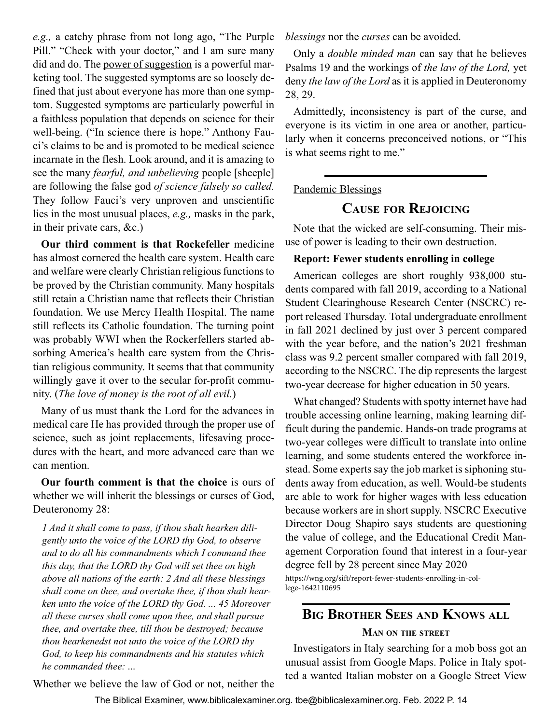<span id="page-13-0"></span>*e.g.,* a catchy phrase from not long ago, "The Purple Pill." "Check with your doctor," and I am sure many did and do. The power of suggestion is a powerful marketing tool. The suggested symptoms are so loosely defined that just about everyone has more than one symptom. Suggested symptoms are particularly powerful in a faithless population that depends on science for their well-being. ("In science there is hope." Anthony Fauci's claims to be and is promoted to be medical science incarnate in the flesh. Look around, and it is amazing to see the many *fearful, and unbelieving* people [sheeple] are following the false god *of science falsely so called.* They follow Fauci's very unproven and unscientific lies in the most unusual places, *e.g.,* masks in the park, in their private cars, &c.)

**Our third comment is that Rockefeller** medicine has almost cornered the health care system. Health care and welfare were clearly Christian religious functions to be proved by the Christian community. Many hospitals still retain a Christian name that reflects their Christian foundation. We use Mercy Health Hospital. The name still reflects its Catholic foundation. The turning point was probably WWI when the Rockerfellers started absorbing America's health care system from the Christian religious community. It seems that that community willingly gave it over to the secular for-profit community. (*The love of money is the root of all evil.*)

Many of us must thank the Lord for the advances in medical care He has provided through the proper use of science, such as joint replacements, lifesaving procedures with the heart, and more advanced care than we can mention.

**Our fourth comment is that the choice** is ours of whether we will inherit the blessings or curses of God, Deuteronomy 28:

*1 And it shall come to pass, if thou shalt hearken diligently unto the voice of the LORD thy God, to observe and to do all his commandments which I command thee this day, that the LORD thy God will set thee on high above all nations of the earth: 2 And all these blessings shall come on thee, and overtake thee, if thou shalt hearken unto the voice of the LORD thy God. ... 45 Moreover all these curses shall come upon thee, and shall pursue thee, and overtake thee, till thou be destroyed; because thou hearkenedst not unto the voice of the LORD thy God, to keep his commandments and his statutes which he commanded thee:* ...

*blessings* nor the *curses* can be avoided.

Only a *double minded man* can say that he believes Psalms 19 and the workings of *the law of the Lord,* yet deny *the law of the Lord* as it is applied in Deuteronomy 28, 29.

Admittedly, inconsistency is part of the curse, and everyone is its victim in one area or another, particularly when it concerns preconceived notions, or "This is what seems right to me."

#### Pandemic Blessings

## **Cause for Rejoicing**

Note that the wicked are self-consuming. Their misuse of power is leading to their own destruction.

#### **Report: Fewer students enrolling in college**

American colleges are short roughly 938,000 students compared with fall 2019, according to a National Student Clearinghouse Research Center (NSCRC) report released Thursday. Total undergraduate enrollment in fall 2021 declined by just over 3 percent compared with the year before, and the nation's 2021 freshman class was 9.2 percent smaller compared with fall 2019, according to the NSCRC. The dip represents the largest two-year decrease for higher education in 50 years.

What changed? Students with spotty internet have had trouble accessing online learning, making learning difficult during the pandemic. Hands-on trade programs at two-year colleges were difficult to translate into online learning, and some students entered the workforce instead. Some experts say the job market is siphoning students away from education, as well. Would-be students are able to work for higher wages with less education because workers are in short supply. NSCRC Executive Director Doug Shapiro says students are questioning the value of college, and the Educational Credit Management Corporation found that interest in a four-year degree fell by 28 percent since May 2020 https://wng.org/sift/report-fewer-students-enrolling-in-college-1642110695

## **Big Brother Sees and Knows all**

#### **Man on the street**

Investigators in Italy searching for a mob boss got an unusual assist from Google Maps. Police in Italy spotted a wanted Italian mobster on a Google Street View

Whether we believe the law of God or not, neither the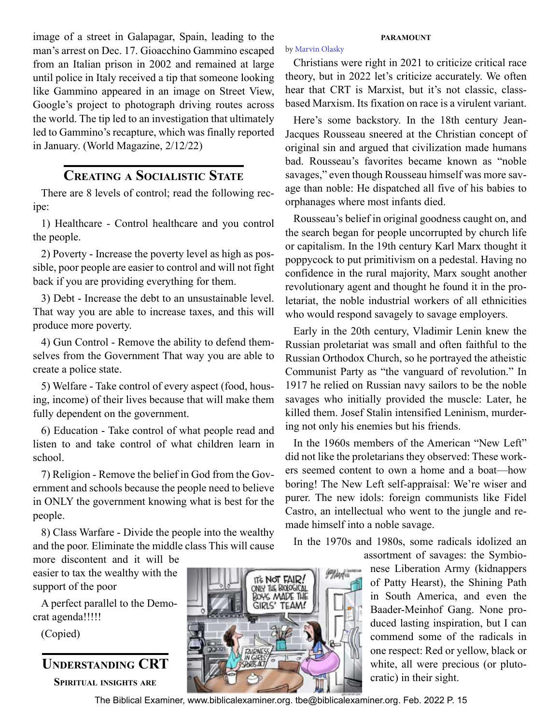<span id="page-14-0"></span>image of a street in Galapagar, Spain, leading to the man's arrest on Dec. 17. Gioacchino Gammino escaped from an Italian prison in 2002 and remained at large until police in Italy received a tip that someone looking like Gammino appeared in an image on Street View, Google's project to photograph driving routes across the world. The tip led to an investigation that ultimately led to Gammino's recapture, which was finally reported in January. (World Magazine, 2/12/22)

## **Creating a Socialistic State**

There are 8 levels of control; read the following recipe:

1) Healthcare - Control healthcare and you control the people.

2) Poverty - Increase the poverty level as high as possible, poor people are easier to control and will not fight back if you are providing everything for them.

3) Debt - Increase the debt to an unsustainable level. That way you are able to increase taxes, and this will produce more poverty.

4) Gun Control - Remove the ability to defend themselves from the Government That way you are able to create a police state.

5) Welfare - Take control of every aspect (food, housing, income) of their lives because that will make them fully dependent on the government.

6) Education - Take control of what people read and listen to and take control of what children learn in school.

7) Religion - Remove the belief in God from the Government and schools because the people need to believe in ONLY the government knowing what is best for the people.

8) Class Warfare - Divide the people into the wealthy and the poor. Eliminate the middle class This will cause

more discontent and it will be easier to tax the wealthy with the support of the poor

A perfect parallel to the Democrat agenda!!!!!

(Copied)

**Understanding CRT**

**Spiritual insights are**



#### **paramount**

#### by [Marvin Olasky](https://wng.org/authors/marvin-olasky)

Christians were right in 2021 to criticize critical race theory, but in 2022 let's criticize accurately. We often hear that CRT is Marxist, but it's not classic, classbased Marxism. Its fixation on race is a virulent variant.

Here's some backstory. In the 18th century Jean-Jacques Rousseau sneered at the Christian concept of original sin and argued that civilization made humans bad. Rousseau's favorites became known as "noble savages," even though Rousseau himself was more savage than noble: He dispatched all five of his babies to orphanages where most infants died.

Rousseau's belief in original goodness caught on, and the search began for people uncorrupted by church life or capitalism. In the 19th century Karl Marx thought it poppycock to put primitivism on a pedestal. Having no confidence in the rural majority, Marx sought another revolutionary agent and thought he found it in the proletariat, the noble industrial workers of all ethnicities who would respond savagely to savage employers.

Early in the 20th century, Vladimir Lenin knew the Russian proletariat was small and often faithful to the Russian Orthodox Church, so he portrayed the atheistic Communist Party as "the vanguard of revolution." In 1917 he relied on Russian navy sailors to be the noble savages who initially provided the muscle: Later, he killed them. Josef Stalin intensified Leninism, murdering not only his enemies but his friends.

In the 1960s members of the American "New Left" did not like the proletarians they observed: These workers seemed content to own a home and a boat—how boring! The New Left self-appraisal: We're wiser and purer. The new idols: foreign communists like Fidel Castro, an intellectual who went to the jungle and remade himself into a noble savage.

In the 1970s and 1980s, some radicals idolized an assortment of savages: the Symbio-

> nese Liberation Army (kidnappers of Patty Hearst), the Shining Path in South America, and even the Baader-Meinhof Gang. None produced lasting inspiration, but I can commend some of the radicals in one respect: Red or yellow, black or white, all were precious (or plutocratic) in their sight.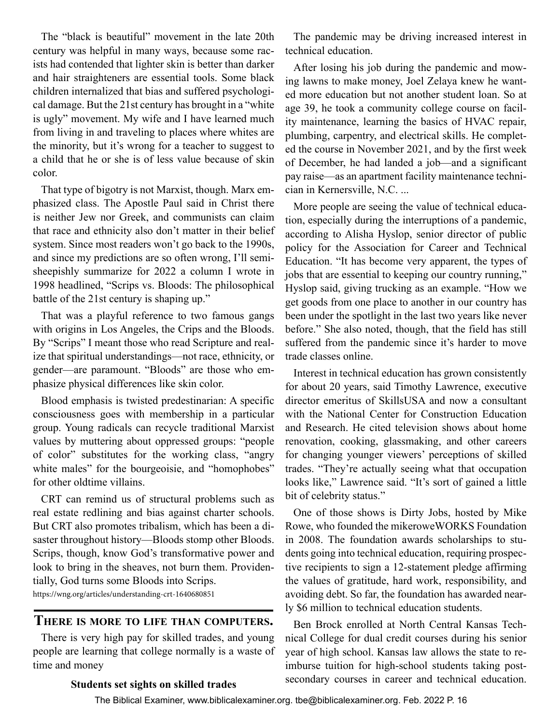<span id="page-15-0"></span>The "black is beautiful" movement in the late 20th century was helpful in many ways, because some racists had contended that lighter skin is better than darker and hair straighteners are essential tools. Some black children internalized that bias and suffered psychological damage. But the 21st century has brought in a "white is ugly" movement. My wife and I have learned much from living in and traveling to places where whites are the minority, but it's wrong for a teacher to suggest to a child that he or she is of less value because of skin color.

That type of bigotry is not Marxist, though. Marx emphasized class. The Apostle Paul said in Christ there is neither Jew nor Greek, and communists can claim that race and ethnicity also don't matter in their belief system. Since most readers won't go back to the 1990s, and since my predictions are so often wrong, I'll semisheepishly summarize for 2022 a column I wrote in 1998 headlined, "Scrips vs. Bloods: The philosophical battle of the 21st century is shaping up."

That was a playful reference to two famous gangs with origins in Los Angeles, the Crips and the Bloods. By "Scrips" I meant those who read Scripture and realize that spiritual understandings—not race, ethnicity, or gender—are paramount. "Bloods" are those who emphasize physical differences like skin color.

Blood emphasis is twisted predestinarian: A specific consciousness goes with membership in a particular group. Young radicals can recycle traditional Marxist values by muttering about oppressed groups: "people of color" substitutes for the working class, "angry white males" for the bourgeoisie, and "homophobes" for other oldtime villains.

CRT can remind us of structural problems such as real estate redlining and bias against charter schools. But CRT also promotes tribalism, which has been a disaster throughout history—Bloods stomp other Bloods. Scrips, though, know God's transformative power and look to bring in the sheaves, not burn them. Providentially, God turns some Bloods into Scrips. https://wng.org/articles/understanding-crt-1640680851

#### **There is more to life than computers.**

There is very high pay for skilled trades, and young people are learning that college normally is a waste of time and money

The pandemic may be driving increased interest in technical education.

After losing his job during the pandemic and mowing lawns to make money, Joel Zelaya knew he wanted more education but not another student loan. So at age 39, he took a community college course on facility maintenance, learning the basics of HVAC repair, plumbing, carpentry, and electrical skills. He completed the course in November 2021, and by the first week of December, he had landed a job—and a significant pay raise—as an apartment facility maintenance technician in Kernersville, N.C. ...

More people are seeing the value of technical education, especially during the interruptions of a pandemic, according to Alisha Hyslop, senior director of public policy for the Association for Career and Technical Education. "It has become very apparent, the types of jobs that are essential to keeping our country running," Hyslop said, giving trucking as an example. "How we get goods from one place to another in our country has been under the spotlight in the last two years like never before." She also noted, though, that the field has still suffered from the pandemic since it's harder to move trade classes online.

Interest in technical education has grown consistently for about 20 years, said Timothy Lawrence, executive director emeritus of SkillsUSA and now a consultant with the National Center for Construction Education and Research. He cited television shows about home renovation, cooking, glassmaking, and other careers for changing younger viewers' perceptions of skilled trades. "They're actually seeing what that occupation looks like," Lawrence said. "It's sort of gained a little bit of celebrity status."

One of those shows is Dirty Jobs, hosted by Mike Rowe, who founded the mikeroweWORKS Foundation in 2008. The foundation awards scholarships to students going into technical education, requiring prospective recipients to sign a 12-statement pledge affirming the values of gratitude, hard work, responsibility, and avoiding debt. So far, the foundation has awarded nearly \$6 million to technical education students.

Ben Brock enrolled at North Central Kansas Technical College for dual credit courses during his senior year of high school. Kansas law allows the state to reimburse tuition for high-school students taking postsecondary courses in career and technical education.

#### **Students set sights on skilled trades**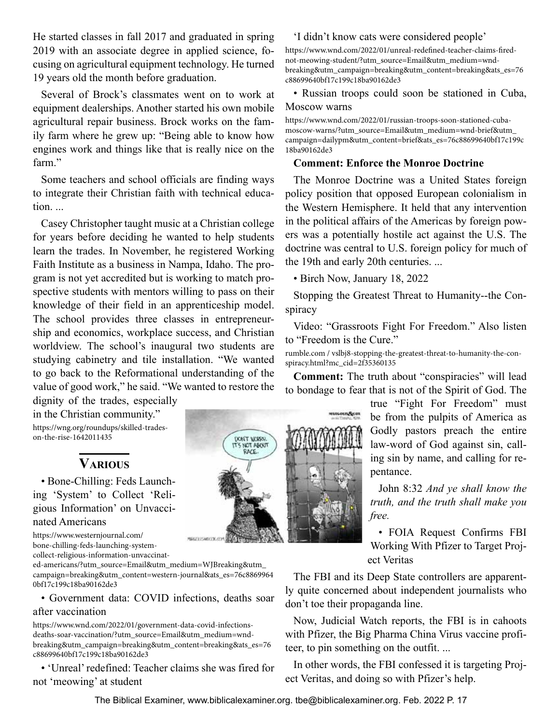<span id="page-16-0"></span>He started classes in fall 2017 and graduated in spring 2019 with an associate degree in applied science, focusing on agricultural equipment technology. He turned 19 years old the month before graduation.

Several of Brock's classmates went on to work at equipment dealerships. Another started his own mobile agricultural repair business. Brock works on the family farm where he grew up: "Being able to know how engines work and things like that is really nice on the farm"

Some teachers and school officials are finding ways to integrate their Christian faith with technical education. ...

Casey Christopher taught music at a Christian college for years before deciding he wanted to help students learn the trades. In November, he registered Working Faith Institute as a business in Nampa, Idaho. The program is not yet accredited but is working to match prospective students with mentors willing to pass on their knowledge of their field in an apprenticeship model. The school provides three classes in entrepreneurship and economics, workplace success, and Christian worldview. The school's inaugural two students are studying cabinetry and tile installation. "We wanted to go back to the Reformational understanding of the value of good work," he said. "We wanted to restore the

dignity of the trades, especially in the Christian community." https://wng.org/roundups/skilled-tradeson-the-rise-1642011435

## **Various**

• Bone-Chilling: Feds Launching 'System' to Collect 'Religious Information' on Unvaccinated Americans

https://www.westernjournal.com/ bone-chilling-feds-launching-systemcollect-religious-information-unvaccinat-

ed-americans/?utm\_source=Email&utm\_medium=WJBreaking&utm\_ campaign=breaking&utm\_content=western-journal&ats\_es=76c8869964 0bf17c199c18ba90162de3

• Government data: COVID infections, deaths soar after vaccination

https://www.wnd.com/2022/01/government-data-covid-infectionsdeaths-soar-vaccination/?utm\_source=Email&utm\_medium=wndbreaking&utm\_campaign=breaking&utm\_content=breaking&ats\_es=76 c88699640bf17c199c18ba90162de3

• 'Unreal' redefined: Teacher claims she was fired for not 'meowing' at student

#### 'I didn't know cats were considered people'

https://www.wnd.com/2022/01/unreal-redefined-teacher-claims-firednot-meowing-student/?utm\_source=Email&utm\_medium=wndbreaking&utm\_campaign=breaking&utm\_content=breaking&ats\_es=76 c88699640bf17c199c18ba90162de3

• Russian troops could soon be stationed in Cuba, Moscow warns

https://www.wnd.com/2022/01/russian-troops-soon-stationed-cubamoscow-warns/?utm\_source=Email&utm\_medium=wnd-brief&utm\_ campaign=dailypm&utm\_content=brief&ats\_es=76c88699640bf17c199c 18ba90162de3

#### **Comment: Enforce the Monroe Doctrine**

The Monroe Doctrine was a United States foreign policy position that opposed European colonialism in the Western Hemisphere. It held that any intervention in the political affairs of the Americas by foreign powers was a potentially hostile act against the U.S. The doctrine was central to U.S. foreign policy for much of the 19th and early 20th centuries. ...

• Birch Now, January 18, 2022

Stopping the Greatest Threat to Humanity--the Conspiracy

Video: "Grassroots Fight For Freedom." Also listen to "Freedom is the Cure."

rumble.com / vslbj8-stopping-the-greatest-threat-to-humanity-the-conspiracy.html?mc\_cid=2f35360135

**Comment:** The truth about "conspiracies" will lead to bondage to fear that is not of the Spirit of God. The

> true "Fight For Freedom" must be from the pulpits of America as Godly pastors preach the entire law-word of God against sin, calling sin by name, and calling for repentance.

> John 8:32 *And ye shall know the truth, and the truth shall make you*

• FOIA Request Confirms FBI Working With Pfizer to Target Project Veritas

The FBI and its Deep State controllers are apparently quite concerned about independent journalists who don't toe their propaganda line.

Now, Judicial Watch reports, the FBI is in cahoots with Pfizer, the Big Pharma China Virus vaccine profiteer, to pin something on the outfit. ...

In other words, the FBI confessed it is targeting Project Veritas, and doing so with Pfizer's help.



DON'T WORRY. **TT'S NOT ABOUT** RACE.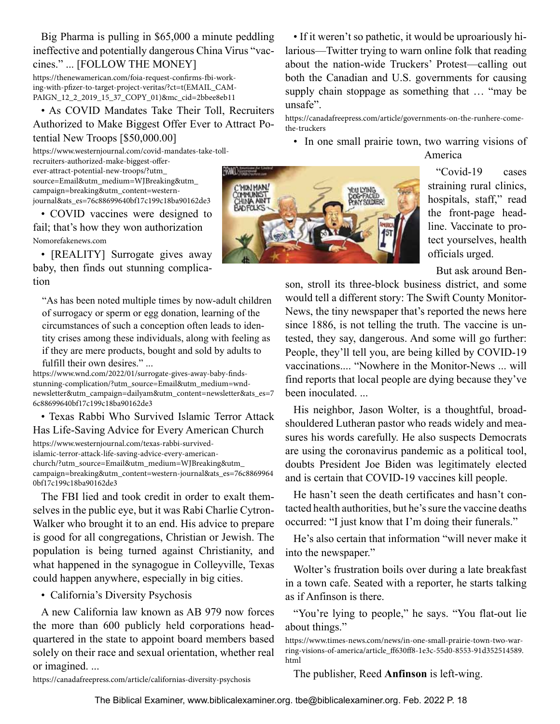Big Pharma is pulling in \$65,000 a minute peddling ineffective and potentially dangerous China Virus "vaccines." ... [FOLLOW THE MONEY]

https://thenewamerican.com/foia-request-confirms-fbi-working-with-pfizer-to-target-project-veritas/?ct=t(EMAIL\_CAM-PAIGN\_12\_2\_2019\_15\_37\_COPY\_01)&mc\_cid=2bbee8eb11

• As COVID Mandates Take Their Toll, Recruiters Authorized to Make Biggest Offer Ever to Attract Potential New Troops [\$50,000.00]

https://www.westernjournal.com/covid-mandates-take-tollrecruiters-authorized-make-biggest-offerever-attract-potential-new-troops/?utm\_ source=Email&utm\_medium=WJBreaking&utm\_ campaign=breaking&utm\_content=westernjournal&ats\_es=76c88699640bf17c199c18ba90162de3

• COVID vaccines were designed to fail; that's how they won authorization Nomorefakenews.com

• [REALITY] Surrogate gives away baby, then finds out stunning complication

"As has been noted multiple times by now-adult children of surrogacy or sperm or egg donation, learning of the circumstances of such a conception often leads to identity crises among these individuals, along with feeling as if they are mere products, bought and sold by adults to fulfill their own desires." ...

https://www.wnd.com/2022/01/surrogate-gives-away-baby-findsstunning-complication/?utm\_source=Email&utm\_medium=wndnewsletter&utm\_campaign=dailyam&utm\_content=newsletter&ats\_es=7 6c88699640bf17c199c18ba90162de3

#### • Texas Rabbi Who Survived Islamic Terror Attack Has Life-Saving Advice for Every American Church

https://www.westernjournal.com/texas-rabbi-survivedislamic-terror-attack-life-saving-advice-every-americanchurch/?utm\_source=Email&utm\_medium=WJBreaking&utm\_ campaign=breaking&utm\_content=western-journal&ats\_es=76c8869964 0bf17c199c18ba90162de3

The FBI lied and took credit in order to exalt themselves in the public eye, but it was Rabi Charlie Cytron-Walker who brought it to an end. His advice to prepare is good for all congregations, Christian or Jewish. The population is being turned against Christianity, and what happened in the synagogue in Colleyville, Texas could happen anywhere, especially in big cities.

• California's Diversity Psychosis

A new California law known as AB 979 now forces the more than 600 publicly held corporations headquartered in the state to appoint board members based solely on their race and sexual orientation, whether real or imagined. ...

• If it weren't so pathetic, it would be uproariously hilarious—Twitter trying to warn online folk that reading about the nation-wide Truckers' Protest—calling out both the Canadian and U.S. governments for causing supply chain stoppage as something that … "may be unsafe".

https://canadafreepress.com/article/governments-on-the-runhere-comethe-truckers

• In one small prairie town, two warring visions of America



"Covid-19 cases straining rural clinics, hospitals, staff," read the front-page headline. Vaccinate to protect yourselves, health officials urged.

But ask around Ben-

son, stroll its three-block business district, and some would tell a different story: The Swift County Monitor-News, the tiny newspaper that's reported the news here since 1886, is not telling the truth. The vaccine is untested, they say, dangerous. And some will go further: People, they'll tell you, are being killed by COVID-19 vaccinations.... "Nowhere in the Monitor-News ... will find reports that local people are dying because they've been inoculated. ...

His neighbor, Jason Wolter, is a thoughtful, broadshouldered Lutheran pastor who reads widely and measures his words carefully. He also suspects Democrats are using the coronavirus pandemic as a political tool, doubts President Joe Biden was legitimately elected and is certain that COVID-19 vaccines kill people.

He hasn't seen the death certificates and hasn't contacted health authorities, but he's sure the vaccine deaths occurred: "I just know that I'm doing their funerals."

He's also certain that information "will never make it into the newspaper."

Wolter's frustration boils over during a late breakfast in a town cafe. Seated with a reporter, he starts talking as if Anfinson is there.

"You're lying to people," he says. "You flat-out lie about things."

https://canadafreepress.com/article/californias-diversity-psychosis

The publisher, Reed **Anfinson** is left-wing.

https://www.times-news.com/news/in-one-small-prairie-town-two-warring-visions-of-america/article\_ff630ff8-1e3c-55d0-8553-91d352514589. html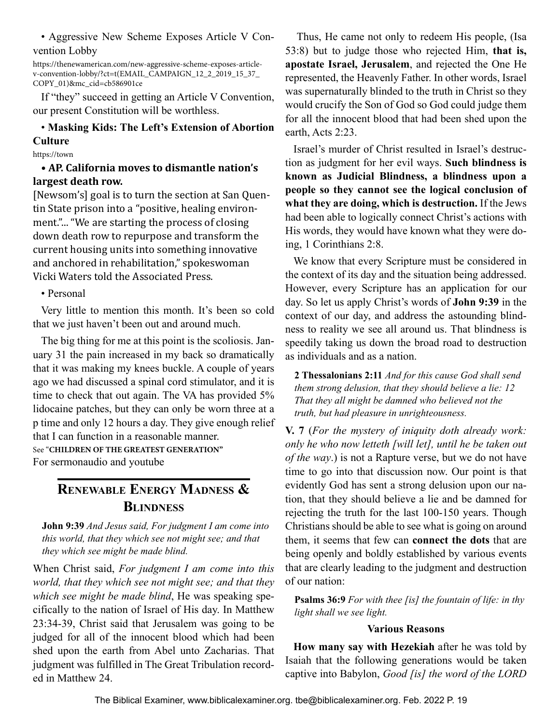<span id="page-18-0"></span>• Aggressive New Scheme Exposes Article V Convention Lobby

https://thenewamerican.com/new-aggressive-scheme-exposes-articlev-convention-lobby/?ct=t(EMAIL\_CAMPAIGN\_12\_2\_2019\_15\_37\_ COPY\_01)&mc\_cid=cb586901ce

If "they" succeed in getting an Article V Convention, our present Constitution will be worthless.

### • **Masking Kids: The Left's Extension of Abortion Culture**

https://town

#### • **AP. California moves to dismantle nation's largest death row.**

[Newsom's] goal is to turn the section at San Quentin State prison into a "positive, healing environment."... "We are starting the process of closing down death row to repurpose and transform the current housing units into something innovative and anchored in rehabilitation," spokeswoman Vicki Waters told the Associated Press.

• Personal

Very little to mention this month. It's been so cold that we just haven't been out and around much.

The big thing for me at this point is the scoliosis. January 31 the pain increased in my back so dramatically that it was making my knees buckle. A couple of years ago we had discussed a spinal cord stimulator, and it is time to check that out again. The VA has provided 5% lidocaine patches, but they can only be worn three at a p time and only 12 hours a day. They give enough relief that I can function in a reasonable manner. See "**CHILDREN OF THE GREATEST GENERATION"**

For sermonaudio and youtube

## **Renewable Energy Madness & Blindness**

**John 9:39** *And Jesus said, For judgment I am come into this world, that they which see not might see; and that they which see might be made blind.*

When Christ said, *For judgment I am come into this world, that they which see not might see; and that they which see might be made blind*, He was speaking specifically to the nation of Israel of His day. In Matthew 23:34-39, Christ said that Jerusalem was going to be judged for all of the innocent blood which had been shed upon the earth from Abel unto Zacharias. That judgment was fulfilled in The Great Tribulation recorded in Matthew 24.

 Thus, He came not only to redeem His people, (Isa 53:8) but to judge those who rejected Him, **that is, apostate Israel, Jerusalem**, and rejected the One He represented, the Heavenly Father. In other words, Israel was supernaturally blinded to the truth in Christ so they would crucify the Son of God so God could judge them for all the innocent blood that had been shed upon the earth, Acts 2:23.

Israel's murder of Christ resulted in Israel's destruction as judgment for her evil ways. **Such blindness is known as Judicial Blindness, a blindness upon a people so they cannot see the logical conclusion of what they are doing, which is destruction.** If the Jews had been able to logically connect Christ's actions with His words, they would have known what they were doing, 1 Corinthians 2:8.

We know that every Scripture must be considered in the context of its day and the situation being addressed. However, every Scripture has an application for our day. So let us apply Christ's words of **John 9:39** in the context of our day, and address the astounding blindness to reality we see all around us. That blindness is speedily taking us down the broad road to destruction as individuals and as a nation.

**2 Thessalonians 2:11** *And for this cause God shall send them strong delusion, that they should believe a lie: 12 That they all might be damned who believed not the truth, but had pleasure in unrighteousness.* 

**V. 7** (*For the mystery of iniquity doth already work: only he who now letteth [will let], until he be taken out of the way*.) is not a Rapture verse, but we do not have time to go into that discussion now. Our point is that evidently God has sent a strong delusion upon our nation, that they should believe a lie and be damned for rejecting the truth for the last 100-150 years. Though Christians should be able to see what is going on around them, it seems that few can **connect the dots** that are being openly and boldly established by various events that are clearly leading to the judgment and destruction of our nation:

**Psalms 36:9** *For with thee [is] the fountain of life: in thy light shall we see light.*

#### **Various Reasons**

**How many say with Hezekiah** after he was told by Isaiah that the following generations would be taken captive into Babylon, *Good [is] the word of the LORD*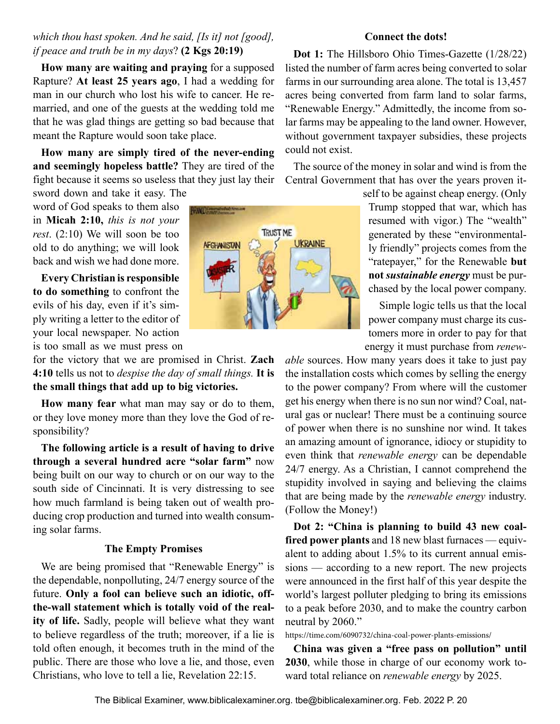#### *which thou hast spoken. And he said, [Is it] not [good], if peace and truth be in my days*? **(2 Kgs 20:19)**

**How many are waiting and praying** for a supposed Rapture? **At least 25 years ago**, I had a wedding for man in our church who lost his wife to cancer. He remarried, and one of the guests at the wedding told me that he was glad things are getting so bad because that meant the Rapture would soon take place.

**How many are simply tired of the never-ending and seemingly hopeless battle?** They are tired of the fight because it seems so useless that they just lay their sword down and take it easy. The

word of God speaks to them also in **Micah 2:10,** *this is not your rest*. (2:10) We will soon be too old to do anything; we will look back and wish we had done more.

**Every Christian is responsible to do something** to confront the evils of his day, even if it's simply writing a letter to the editor of your local newspaper. No action is too small as we must press on

for the victory that we are promised in Christ. **Zach 4:10** tells us not to *despise the day of small things.* **It is the small things that add up to big victories.**

**How many fear** what man may say or do to them, or they love money more than they love the God of responsibility?

**The following article is a result of having to drive through a several hundred acre "solar farm"** now being built on our way to church or on our way to the south side of Cincinnati. It is very distressing to see how much farmland is being taken out of wealth producing crop production and turned into wealth consuming solar farms.

#### **The Empty Promises**

We are being promised that "Renewable Energy" is the dependable, nonpolluting, 24/7 energy source of the future. **Only a fool can believe such an idiotic, offthe-wall statement which is totally void of the reality of life.** Sadly, people will believe what they want to believe regardless of the truth; moreover, if a lie is told often enough, it becomes truth in the mind of the public. There are those who love a lie, and those, even Christians, who love to tell a lie, Revelation 22:15.



#### **Connect the dots!**

**Dot 1:** The Hillsboro Ohio Times-Gazette (1/28/22) listed the number of farm acres being converted to solar farms in our surrounding area alone. The total is 13,457 acres being converted from farm land to solar farms, "Renewable Energy." Admittedly, the income from solar farms may be appealing to the land owner. However, without government taxpayer subsidies, these projects could not exist.

The source of the money in solar and wind is from the Central Government that has over the years proven it-

self to be against cheap energy. (Only Trump stopped that war, which has resumed with vigor.) The "wealth" generated by these "environmentally friendly" projects comes from the "ratepayer," for the Renewable **but not** *sustainable energy* must be purchased by the local power company.

 Simple logic tells us that the local power company must charge its customers more in order to pay for that energy it must purchase from *renew-*

*able* sources. How many years does it take to just pay the installation costs which comes by selling the energy to the power company? From where will the customer get his energy when there is no sun nor wind? Coal, natural gas or nuclear! There must be a continuing source of power when there is no sunshine nor wind. It takes an amazing amount of ignorance, idiocy or stupidity to even think that *renewable energy* can be dependable 24/7 energy. As a Christian, I cannot comprehend the stupidity involved in saying and believing the claims that are being made by the *renewable energy* industry. (Follow the Money!)

**Dot 2: "China is planning to build 43 new coalfired power plants** and 18 new blast furnaces — equivalent to adding about 1.5% to its current annual emissions — according to a new report. The new projects were announced in the first half of this year despite the world's largest polluter pledging to bring its emissions to a peak before 2030, and to make the country carbon neutral by 2060."

https://time.com/6090732/china-coal-power-plants-emissions/

**China was given a "free pass on pollution" until 2030**, while those in charge of our economy work toward total reliance on *renewable energy* by 2025.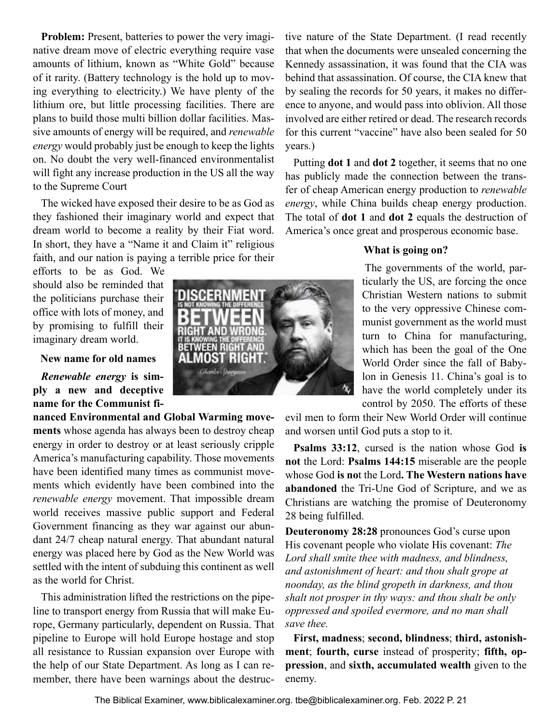**Problem:** Present, batteries to power the very imaginative dream move of electric everything require vase amounts of lithium, known as "White Gold" because of it rarity. (Battery technology is the hold up to moving everything to electricity.) We have plenty of the lithium ore, but little processing facilities. There are plans to build those multi billion dollar facilities. Massive amounts of energy will be required, and *renewable energy* would probably just be enough to keep the lights on. No doubt the very well-financed environmentalist will fight any increase production in the US all the way to the Supreme Court

The wicked have exposed their desire to be as God as they fashioned their imaginary world and expect that dream world to become a reality by their Fiat word. In short, they have a "Name it and Claim it" religious faith, and our nation is paying a terrible price for their

> **VEEN RIGHT** MOST RIGHT

efforts to be as God. We should also be reminded that the politicians purchase their office with lots of money, and by promising to fulfill their imaginary dream world.

#### **New name for old names**

*Renewable energy* **is simply a new and deceptive name for the Communist fi-**

**nanced Environmental and Global Warming movements** whose agenda has always been to destroy cheap energy in order to destroy or at least seriously cripple America's manufacturing capability. Those movements have been identified many times as communist movements which evidently have been combined into the *renewable energy* movement. That impossible dream world receives massive public support and Federal Government financing as they war against our abundant 24/7 cheap natural energy. That abundant natural energy was placed here by God as the New World was settled with the intent of subduing this continent as well as the world for Christ.

This administration lifted the restrictions on the pipeline to transport energy from Russia that will make Europe, Germany particularly, dependent on Russia. That pipeline to Europe will hold Europe hostage and stop all resistance to Russian expansion over Europe with the help of our State Department. As long as I can remember, there have been warnings about the destruc-



tive nature of the State Department. (I read recently that when the documents were unsealed concerning the Kennedy assassination, it was found that the CIA was behind that assassination. Of course, the CIA knew that by sealing the records for 50 years, it makes no difference to anyone, and would pass into oblivion. All those involved are either retired or dead. The research records for this current "vaccine" have also been sealed for 50 years.)

Putting **dot 1** and **dot 2** together, it seems that no one has publicly made the connection between the transfer of cheap American energy production to *renewable energy*, while China builds cheap energy production. The total of **dot 1** and **dot 2** equals the destruction of America's once great and prosperous economic base.

#### **What is going on?**

The governments of the world, particularly the US, are forcing the once Christian Western nations to submit to the very oppressive Chinese communist government as the world must turn to China for manufacturing, which has been the goal of the One World Order since the fall of Babylon in Genesis 11. China's goal is to have the world completely under its control by 2050. The efforts of these

evil men to form their New World Order will continue and worsen until God puts a stop to it.

**Psalms 33:12**, cursed is the nation whose God **is not** the Lord: **Psalms 144:15** miserable are the people whose God **is no**t the Lord**. The Western nations have abandoned** the Tri-Une God of Scripture, and we as Christians are watching the promise of Deuteronomy 28 being fulfilled.

**Deuteronomy 28:28** pronounces God's curse upon His covenant people who violate His covenant: *The Lord shall smite thee with madness, and blindness, and astonishment of heart: and thou shalt grope at noonday, as the blind gropeth in darkness, and thou shalt not prosper in thy ways: and thou shalt be only oppressed and spoiled evermore, and no man shall save thee.*

**First, madness**; **second, blindness**; **third, astonishment**; **fourth, curse** instead of prosperity; **fifth, oppression**, and **sixth, accumulated wealth** given to the enemy.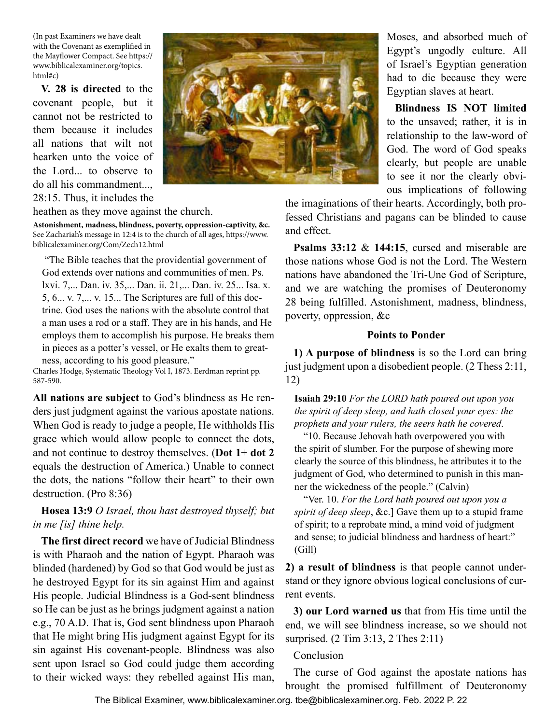(In past Examiners we have dealt with the Covenant as exemplified in the Mayflower Compact. See https:// www.biblicalexaminer.org/topics. html#c)

**V. 28 is directed** to the covenant people, but it cannot not be restricted to them because it includes all nations that wilt not hearken unto the voice of the Lord... to observe to do all his commandment..., 28:15. Thus, it includes the



heathen as they move against the church.

**Astonishment, madness, blindness, poverty, oppression-captivity, &c.**  See Zachariah's message in 12:4 is to the church of all ages, https://www. biblicalexaminer.org/Com/Zech12.html

 "The Bible teaches that the providential government of God extends over nations and communities of men. Ps. lxvi. 7,... Dan. iv. 35,... Dan. ii. 21,... Dan. iv. 25... Isa. x. 5, 6... v. 7,... v. 15... The Scriptures are full of this doctrine. God uses the nations with the absolute control that a man uses a rod or a staff. They are in his hands, and He employs them to accomplish his purpose. He breaks them in pieces as a potter's vessel, or He exalts them to greatness, according to his good pleasure."

Charles Hodge, Systematic Theology Vol I, 1873. Eerdman reprint pp. 587-590.

**All nations are subject** to God's blindness as He renders just judgment against the various apostate nations. When God is ready to judge a people, He withholds His grace which would allow people to connect the dots, and not continue to destroy themselves. (**Dot 1**+ **dot 2**  equals the destruction of America.) Unable to connect the dots, the nations "follow their heart" to their own destruction. (Pro 8:36)

**Hosea 13:9** *O Israel, thou hast destroyed thyself; but in me [is] thine help.*

**The first direct record** we have of Judicial Blindness is with Pharaoh and the nation of Egypt. Pharaoh was blinded (hardened) by God so that God would be just as he destroyed Egypt for its sin against Him and against His people. Judicial Blindness is a God-sent blindness so He can be just as he brings judgment against a nation e.g., 70 A.D. That is, God sent blindness upon Pharaoh that He might bring His judgment against Egypt for its sin against His covenant-people. Blindness was also sent upon Israel so God could judge them according to their wicked ways: they rebelled against His man,

Moses, and absorbed much of Egypt's ungodly culture. All of Israel's Egyptian generation had to die because they were Egyptian slaves at heart.

**Blindness IS NOT limited** to the unsaved; rather, it is in relationship to the law-word of God. The word of God speaks clearly, but people are unable to see it nor the clearly obvious implications of following

the imaginations of their hearts. Accordingly, both professed Christians and pagans can be blinded to cause and effect.

**Psalms 33:12** & **144:15**, cursed and miserable are those nations whose God is not the Lord. The Western nations have abandoned the Tri-Une God of Scripture, and we are watching the promises of Deuteronomy 28 being fulfilled. Astonishment, madness, blindness, poverty, oppression, &c

#### **Points to Ponder**

**1) A purpose of blindness** is so the Lord can bring just judgment upon a disobedient people. (2 Thess 2:11, 12)

**Isaiah 29:10** *For the LORD hath poured out upon you the spirit of deep sleep, and hath closed your eyes: the prophets and your rulers, the seers hath he covered*.

"10. Because Jehovah hath overpowered you with the spirit of slumber. For the purpose of shewing more clearly the source of this blindness, he attributes it to the judgment of God, who determined to punish in this manner the wickedness of the people." (Calvin)

"Ver. 10. *For the Lord hath poured out upon you a spirit of deep sleep*, &c.] Gave them up to a stupid frame of spirit; to a reprobate mind, a mind void of judgment and sense; to judicial blindness and hardness of heart:" (Gill)

**2) a result of blindness** is that people cannot understand or they ignore obvious logical conclusions of current events.

**3) our Lord warned us** that from His time until the end, we will see blindness increase, so we should not surprised. (2 Tim 3:13, 2 Thes 2:11)

#### Conclusion

The curse of God against the apostate nations has brought the promised fulfillment of Deuteronomy

The Biblical Examiner, www.biblicalexaminer.org. tbe@biblicalexaminer.org. Feb. 2022 P. 22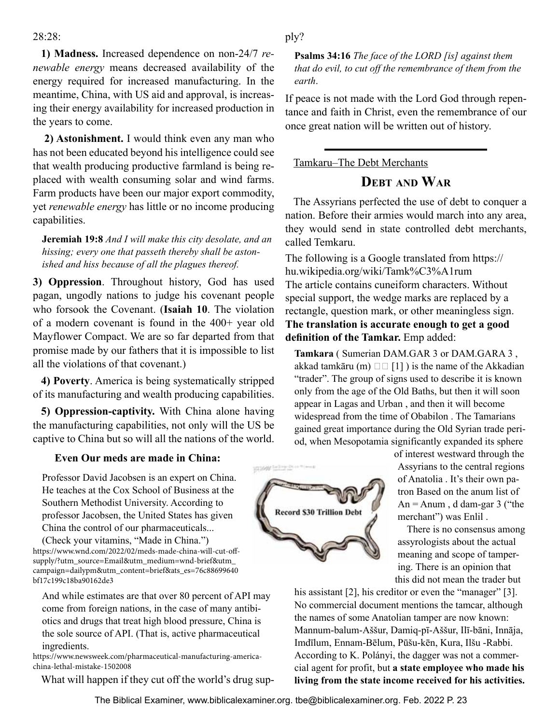#### <span id="page-22-0"></span> $28.28$

**1) Madness.** Increased dependence on non-24/7 *renewable energy* means decreased availability of the energy required for increased manufacturing. In the meantime, China, with US aid and approval, is increasing their energy availability for increased production in the years to come.

**2) Astonishment.** I would think even any man who has not been educated beyond his intelligence could see that wealth producing productive farmland is being replaced with wealth consuming solar and wind farms. Farm products have been our major export commodity, yet *renewable energy* has little or no income producing capabilities.

**Jeremiah 19:8** *And I will make this city desolate, and an hissing; every one that passeth thereby shall be astonished and hiss because of all the plagues thereof.*

**3) Oppression**. Throughout history, God has used pagan, ungodly nations to judge his covenant people who forsook the Covenant. (**Isaiah 10**. The violation of a modern covenant is found in the 400+ year old Mayflower Compact. We are so far departed from that promise made by our fathers that it is impossible to list all the violations of that covenant.)

**4) Poverty**. America is being systematically stripped of its manufacturing and wealth producing capabilities.

**5) Oppression-captivity.** With China alone having the manufacturing capabilities, not only will the US be captive to China but so will all the nations of the world.

#### **Even Our meds are made in China:**

Professor David Jacobsen is an expert on China. He teaches at the Cox School of Business at the Southern Methodist University. According to professor Jacobsen, the United States has given China the control of our pharmaceuticals...

(Check your vitamins, "Made in China.") https://www.wnd.com/2022/02/meds-made-china-will-cut-offsupply/?utm\_source=Email&utm\_medium=wnd-brief&utm\_ campaign=dailypm&utm\_content=brief&ats\_es=76c88699640 bf17c199c18ba90162de3

And while estimates are that over 80 percent of API may come from foreign nations, in the case of many antibiotics and drugs that treat high blood pressure, China is the sole source of API. (That is, active pharmaceutical ingredients.

https://www.newsweek.com/pharmaceutical-manufacturing-americachina-lethal-mistake-1502008

What will happen if they cut off the world's drug sup-

#### ply?

**Psalms 34:16** *The face of the LORD [is] against them that do evil, to cut off the remembrance of them from the earth*.

If peace is not made with the Lord God through repentance and faith in Christ, even the remembrance of our once great nation will be written out of history.

#### Tamkaru–The Debt Merchants

## **Debt and War**

The Assyrians perfected the use of debt to conquer a nation. Before their armies would march into any area, they would send in state controlled debt merchants, called Temkaru.

The following is a Google translated from https:// hu.wikipedia.org/wiki/Tamk%C3%A1rum The article contains cuneiform characters. Without special support, the wedge marks are replaced by a rectangle, question mark, or other meaningless sign. **The translation is accurate enough to get a good definition of the Tamkar.** Emp added:

**Tamkara** ( Sumerian DAM.GAR 3 or DAM.GARA 3 , akkad tamkāru (m)  $\Box$  [1]) is the name of the Akkadian "trader". The group of signs used to describe it is known only from the age of the Old Baths, but then it will soon appear in Lagas and Urban , and then it will become widespread from the time of Obabilon . The Tamarians gained great importance during the Old Syrian trade period, when Mesopotamia significantly expanded its sphere



of interest westward through the Assyrians to the central regions of Anatolia . It's their own patron Based on the anum list of An  $=$  Anum, d dam-gar 3 ("the merchant") was Enlil .

There is no consensus among assyrologists about the actual meaning and scope of tampering. There is an opinion that this did not mean the trader but

his assistant [2], his creditor or even the "manager" [3]. No commercial document mentions the tamcar, although the names of some Anatolian tamper are now known: Mannum-balum-Aššur, Damiq-pī-Aššur, Ilī-bāni, Innāja, Imdīlum, Ennam-Bēlum, Pūšu-kēn, Kura, Ilšu -Rabbi. According to K. Polányi, the dagger was not a commercial agent for profit, but **a state employee who made his living from the state income received for his activities.**